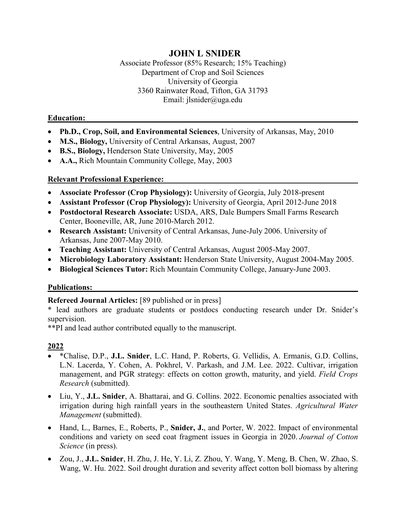# **JOHN L SNIDER**

Associate Professor (85% Research; 15% Teaching) Department of Crop and Soil Sciences University of Georgia 3360 Rainwater Road, Tifton, GA 31793 Email: jlsnider@uga.edu

#### **Education:**

- **Ph.D., Crop, Soil, and Environmental Sciences**, University of Arkansas, May, 2010
- **M.S., Biology,** University of Central Arkansas, August, 2007
- **B.S., Biology,** Henderson State University, May, 2005
- **A.A.,** Rich Mountain Community College, May, 2003

#### **Relevant Professional Experience:**

- **Associate Professor (Crop Physiology):** University of Georgia, July 2018-present
- **Assistant Professor (Crop Physiology):** University of Georgia, April 2012-June 2018
- **Postdoctoral Research Associate:** USDA, ARS, Dale Bumpers Small Farms Research Center, Booneville, AR, June 2010-March 2012.
- **Research Assistant:** University of Central Arkansas, June-July 2006. University of Arkansas, June 2007-May 2010.
- **Teaching Assistant:** University of Central Arkansas, August 2005-May 2007.
- **Microbiology Laboratory Assistant:** Henderson State University, August 2004-May 2005.
- **Biological Sciences Tutor:** Rich Mountain Community College, January-June 2003.

#### **Publications:**

#### **Refereed Journal Articles:** [89 published or in press]

\* lead authors are graduate students or postdocs conducting research under Dr. Snider's supervision.

\*\*PI and lead author contributed equally to the manuscript.

- \*Chalise, D.P., **J.L. Snider**, L.C. Hand, P. Roberts, G. Vellidis, A. Ermanis, G.D. Collins, L.N. Lacerda, Y. Cohen, A. Pokhrel, V. Parkash, and J.M. Lee. 2022. Cultivar, irrigation management, and PGR strategy: effects on cotton growth, maturity, and yield. *Field Crops Research* (submitted).
- Liu, Y., **J.L. Snider**, A. Bhattarai, and G. Collins. 2022. Economic penalties associated with irrigation during high rainfall years in the southeastern United States. *Agricultural Water Management* (submitted).
- Hand, L., Barnes, E., Roberts, P., **Snider, J.**, and Porter, W. 2022. Impact of environmental conditions and variety on seed coat fragment issues in Georgia in 2020. *Journal of Cotton Science* (in press).
- Zou, J., **J.L. Snider**, H. Zhu, J. He, Y. Li, Z. Zhou, Y. Wang, Y. Meng, B. Chen, W. Zhao, S. Wang, W. Hu. 2022. Soil drought duration and severity affect cotton boll biomass by altering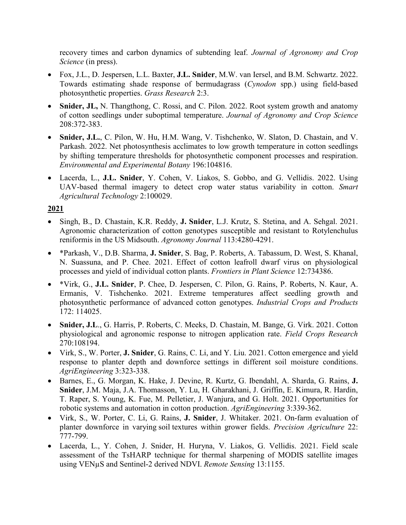recovery times and carbon dynamics of subtending leaf. *Journal of Agronomy and Crop Science* (in press).

- Fox, J.L., D. Jespersen, L.L. Baxter, **J.L. Snider**, M.W. van Iersel, and B.M. Schwartz. 2022. Towards estimating shade response of bermudagrass (*Cynodon* spp.) using field-based photosynthetic properties. *Grass Research* 2:3.
- **Snider, JL,** N. Thangthong, C. Rossi, and C. Pilon. 2022. Root system growth and anatomy of cotton seedlings under suboptimal temperature. *Journal of Agronomy and Crop Science* 208:372-383.
- **Snider, J.L.**, C. Pilon, W. Hu, H.M. Wang, V. Tishchenko, W. Slaton, D. Chastain, and V. Parkash. 2022. Net photosynthesis acclimates to low growth temperature in cotton seedlings by shifting temperature thresholds for photosynthetic component processes and respiration. *Environmental and Experimental Botany* 196:104816.
- Lacerda, L., **J.L. Snider**, Y. Cohen, V. Liakos, S. Gobbo, and G. Vellidis. 2022. Using UAV-based thermal imagery to detect crop water status variability in cotton. *Smart Agricultural Technology* 2:100029.

- Singh, B., D. Chastain, K.R. Reddy, **J. Snider**, L.J. Krutz, S. Stetina, and A. Sehgal. 2021. Agronomic characterization of cotton genotypes susceptible and resistant to Rotylenchulus reniformis in the US Midsouth. *Agronomy Journal* 113:4280-4291.
- \*Parkash, V., D.B. Sharma, **J. Snider**, S. Bag, P. Roberts, A. Tabassum, D. West, S. Khanal, N. Suassuna, and P. Chee. 2021. Effect of cotton leafroll dwarf virus on physiological processes and yield of individual cotton plants. *Frontiers in Plant Science* 12:734386.
- \*Virk, G., **J.L. Snider**, P. Chee, D. Jespersen, C. Pilon, G. Rains, P. Roberts, N. Kaur, A. Ermanis, V. Tishchenko. 2021. Extreme temperatures affect seedling growth and photosynthetic performance of advanced cotton genotypes. *Industrial Crops and Products* 172: 114025.
- **Snider, J.L**., G. Harris, P. Roberts, C. Meeks, D. Chastain, M. Bange, G. Virk. 2021. Cotton physiological and agronomic response to nitrogen application rate. *Field Crops Research* 270:108194.
- Virk, S., W. Porter, **J. Snider**, G. Rains, C. Li, and Y. Liu. 2021. Cotton emergence and yield response to planter depth and downforce settings in different soil moisture conditions. *AgriEngineering* 3:323-338.
- Barnes, E., G. Morgan, K. Hake, J. Devine, R. Kurtz, G. Ibendahl, A. Sharda, G. Rains, **J. Snider**, J.M. Maja, J.A. Thomasson, Y. Lu, H. Gharakhani, J. Griffin, E. Kimura, R. Hardin, T. Raper, S. Young, K. Fue, M. Pelletier, J. Wanjura, and G. Holt. 2021. Opportunities for robotic systems and automation in cotton production. *AgriEngineering* 3:339-362.
- Virk, S., W. Porter, C. Li, G. Rains, **J. Snider**, J. Whitaker. 2021. On-farm evaluation of planter downforce in varying soil textures within grower fields. *Precision Agriculture* 22: 777-799.
- Lacerda, L., Y. Cohen, J. Snider, H. Huryna, V. Liakos, G. Vellidis. 2021. Field scale assessment of the TsHARP technique for thermal sharpening of MODIS satellite images using VENµS and Sentinel-2 derived NDVI. *Remote Sensing* 13:1155.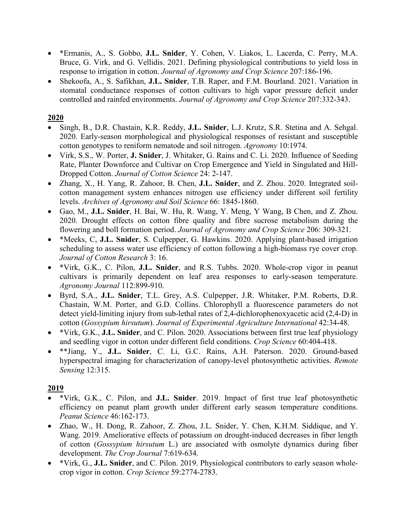- \*Ermanis, A., S. Gobbo, **J.L. Snider**, Y. Cohen, V. Liakos, L. Lacerda, C. Perry, M.A. Bruce, G. Virk, and G. Vellidis. 2021. Defining physiological contributions to yield loss in response to irrigation in cotton. *Journal of Agronomy and Crop Science* 207:186-196.
- Shekoofa, A., S. Safikhan, **J.L. Snider**, T.B. Raper, and F.M. Bourland. 2021. Variation in stomatal conductance responses of cotton cultivars to high vapor pressure deficit under controlled and rainfed environments. *Journal of Agronomy and Crop Science* 207:332-343.

- Singh, B., D.R. Chastain, K.R. Reddy, **J.L. Snider**, L.J. Krutz, S.R. Stetina and A. Sehgal. 2020. Early-season morphological and physiological responses of resistant and susceptible cotton genotypes to reniform nematode and soil nitrogen. *Agronomy* 10:1974.
- Virk, S.S., W. Porter, **J. Snider**, J. Whitaker, G. Rains and C. Li. 2020. Influence of Seeding Rate, Planter Downforce and Cultivar on Crop Emergence and Yield in Singulated and Hill-Dropped Cotton. *Journal of Cotton Science* 24: 2-147.
- Zhang, X., H. Yang, R. Zahoor, B. Chen, **J.L. Snider**, and Z. Zhou. 2020. Integrated soilcotton management system enhances nitrogen use efficiency under different soil fertility levels. *Archives of Agronomy and Soil Science* 66: 1845-1860.
- Gao, M., **J.L. Snider**, H. Bai, W. Hu, R. Wang, Y. Meng, Y Wang, B Chen, and Z. Zhou. 2020. Drought effects on cotton fibre quality and fibre sucrose metabolism during the flowering and boll formation period. *Journal of Agronomy and Crop Science* 206: 309-321.
- \*Meeks, C, **J.L. Snider**, S. Culpepper, G. Hawkins. 2020. Applying plant-based irrigation scheduling to assess water use efficiency of cotton following a high-biomass rye cover crop. *Journal of Cotton Research* 3: 16.
- \*Virk, G.K., C. Pilon, **J.L. Snider**, and R.S. Tubbs. 2020. Whole-crop vigor in peanut cultivars is primarily dependent on leaf area responses to early-season temperature. *Agronomy Journal* 112:899-910.
- Byrd, S.A., **J.L. Snider**, T.L. Grey, A.S. Culpepper, J.R. Whitaker, P.M. Roberts, D.R. Chastain, W.M. Porter, and G.D. Collins. Chlorophyll a fluorescence parameters do not detect yield-limiting injury from sub-lethal rates of 2,4-dichlorophenoxyacetic acid (2,4-D) in cotton (*Gossypium hirsutum*). *Journal of Experimental Agriculture International* 42:34-48.
- \*Virk, G.K., **J.L. Snider**, and C. Pilon. 2020. Associations between first true leaf physiology and seedling vigor in cotton under different field conditions. *Crop Science* 60:404-418.
- \*\*Jiang, Y., **J.L. Snider**, C. Li, G.C. Rains, A.H. Paterson. 2020. Ground-based hyperspectral imaging for characterization of canopy-level photosynthetic activities. *Remote Sensing* 12:315.

- \*Virk, G.K., C. Pilon, and **J.L. Snider**. 2019. Impact of first true leaf photosynthetic efficiency on peanut plant growth under different early season temperature conditions. *Peanut Science* 46:162-173.
- Zhao, W., H. Dong, R. Zahoor, Z. Zhou, J.L. Snider, Y. Chen, K.H.M. Siddique, and Y. Wang. 2019. Ameliorative effects of potassium on drought-induced decreases in fiber length of cotton (*Gossypium hirsutum* L.) are associated with osmolyte dynamics during fiber development. *The Crop Journal* 7:619-634.
- \*Virk, G., **J.L. Snider**, and C. Pilon. 2019. Physiological contributors to early season wholecrop vigor in cotton. *Crop Science* 59:2774-2783.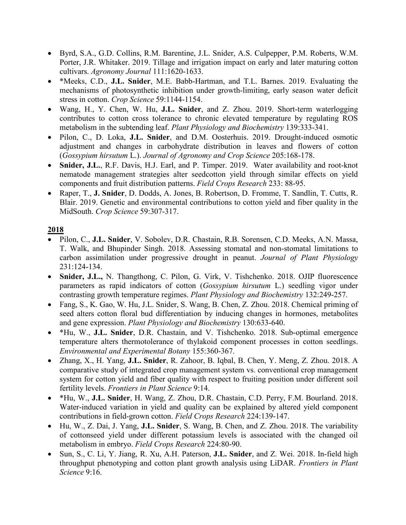- Byrd, S.A., G.D. Collins, R.M. Barentine, J.L. Snider, A.S. Culpepper, P.M. Roberts, W.M. Porter, J.R. Whitaker. 2019. Tillage and irrigation impact on early and later maturing cotton cultivars. *Agronomy Journal* 111:1620-1633.
- \*Meeks, C.D., **J.L. Snider**, M.E. Babb-Hartman, and T.L. Barnes. 2019. Evaluating the mechanisms of photosynthetic inhibition under growth-limiting, early season water deficit stress in cotton. *Crop Science* 59:1144-1154.
- Wang, H., Y. Chen, W. Hu, **J.L. Snider**, and Z. Zhou. 2019. Short-term waterlogging contributes to cotton cross tolerance to chronic elevated temperature by regulating ROS metabolism in the subtending leaf. *Plant Physiology and Biochemistry* 139:333-341.
- Pilon, C., D. Loka, **J.L. Snider**, and D.M. Oosterhuis. 2019. Drought-induced osmotic adjustment and changes in carbohydrate distribution in leaves and flowers of cotton (*Gossypium hirsutum* L.). *Journal of Agronomy and Crop Science* 205:168-178.
- **Snider, J.L.**, R.F. Davis, H.J. Earl, and P. Timper. 2019. Water availability and root-knot nematode management strategies alter seedcotton yield through similar effects on yield components and fruit distribution patterns. *Field Crops Research* 233: 88-95.
- Raper, T., **J. Snider**, D. Dodds, A. Jones, B. Robertson, D. Fromme, T. Sandlin, T. Cutts, R. Blair. 2019. Genetic and environmental contributions to cotton yield and fiber quality in the MidSouth. *Crop Science* 59:307-317.

- Pilon, C., **J.L. Snider**, V. Sobolev, D.R. Chastain, R.B. Sorensen, C.D. Meeks, A.N. Massa, T. Walk, and Bhupinder Singh. 2018. Assessing stomatal and non-stomatal limitations to carbon assimilation under progressive drought in peanut. *Journal of Plant Physiology* 231:124-134.
- **Snider, J.L.,** N. Thangthong, C. Pilon, G. Virk, V. Tishchenko. 2018. OJIP fluorescence parameters as rapid indicators of cotton (*Gossypium hirsutum* L.) seedling vigor under contrasting growth temperature regimes. *Plant Physiology and Biochemistry* 132:249-257.
- Fang, S., K. Gao, W. Hu, J.L. Snider, S. Wang, B. Chen, Z. Zhou. 2018. Chemical priming of seed alters cotton floral bud differentiation by inducing changes in hormones, metabolites and gene expression. *Plant Physiology and Biochemistry* 130:633-640.
- \*Hu, W., **J.L. Snider**, D.R. Chastain, and V. Tishchenko. 2018. Sub-optimal emergence temperature alters thermotolerance of thylakoid component processes in cotton seedlings. *Environmental and Experimental Botany* 155:360-367.
- Zhang, X., H. Yang, **J.L. Snider**, R. Zahoor, B. Iqbal, B. Chen, Y. Meng, Z. Zhou. 2018. A comparative study of integrated crop management system vs. conventional crop management system for cotton yield and fiber quality with respect to fruiting position under different soil fertility levels. *Frontiers in Plant Science* 9:14.
- \*Hu, W., **J.L. Snider**, H. Wang, Z. Zhou, D.R. Chastain, C.D. Perry, F.M. Bourland. 2018. Water-induced variation in yield and quality can be explained by altered yield component contributions in field-grown cotton. *Field Crops Research* 224:139-147.
- Hu, W., Z. Dai, J. Yang, **J.L. Snider**, S. Wang, B. Chen, and Z. Zhou. 2018. The variability of cottonseed yield under different potassium levels is associated with the changed oil metabolism in embryo. *Field Crops Research* 224:80-90.
- Sun, S., C. Li, Y. Jiang, R. Xu, A.H. Paterson, **J.L. Snider**, and Z. Wei. 2018. In-field high throughput phenotyping and cotton plant growth analysis using LiDAR. *Frontiers in Plant Science* 9:16.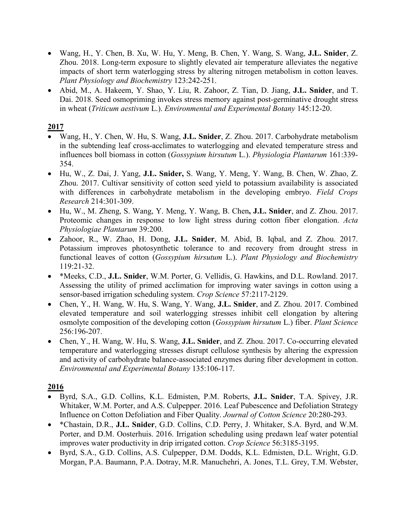- Wang, H., Y. Chen, B. Xu, W. Hu, Y. Meng, B. Chen, Y. Wang, S. Wang, **J.L. Snider**, Z. Zhou. 2018. Long-term exposure to slightly elevated air temperature alleviates the negative impacts of short term waterlogging stress by altering nitrogen metabolism in cotton leaves. *Plant Physiology and Biochemistry* 123:242-251.
- Abid, M., A. Hakeem, Y. Shao, Y. Liu, R. Zahoor, Z. Tian, D. Jiang, **J.L. Snider**, and T. Dai. 2018. Seed osmopriming invokes stress memory against post-germinative drought stress in wheat (*Triticum aestivum* L.). *Environmental and Experimental Botany* 145:12-20.

- Wang, H., Y. Chen, W. Hu, S. Wang, **J.L. Snider**, Z. Zhou. 2017. Carbohydrate metabolism in the subtending leaf cross-acclimates to waterlogging and elevated temperature stress and influences boll biomass in cotton (*Gossypium hirsutum* L.). *Physiologia Plantarum* 161:339- 354.
- Hu, W., Z. Dai, J. Yang, **J.L. Snider,** S. Wang, Y. Meng, Y. Wang, B. Chen, W. Zhao, Z. Zhou. 2017. Cultivar sensitivity of cotton seed yield to potassium availability is associated with differences in carbohydrate metabolism in the developing embryo. *Field Crops Research* 214:301-309.
- Hu, W., M. Zheng, S. Wang, Y. Meng, Y. Wang, B. Chen**, J.L. Snider**, and Z. Zhou. 2017. Proteomic changes in response to low light stress during cotton fiber elongation. *Acta Physiologiae Plantarum* 39:200.
- Zahoor, R., W. Zhao, H. Dong, **J.L. Snider**, M. Abid, B. Iqbal, and Z. Zhou. 2017. Potassium improves photosynthetic tolerance to and recovery from drought stress in functional leaves of cotton (*Gossypium hirsutum* L.). *Plant Physiology and Biochemistry*  119:21-32.
- \*Meeks, C.D., **J.L. Snider**, W.M. Porter, G. Vellidis, G. Hawkins, and D.L. Rowland. 2017. Assessing the utility of primed acclimation for improving water savings in cotton using a sensor-based irrigation scheduling system. *Crop Science* 57:2117-2129.
- Chen, Y., H. Wang, W. Hu, S. Wang, Y. Wang, **J.L. Snider**, and Z. Zhou. 2017. Combined elevated temperature and soil waterlogging stresses inhibit cell elongation by altering osmolyte composition of the developing cotton (*Gossypium hirsutum* L.) fiber. *Plant Science* 256:196-207.
- Chen, Y., H. Wang, W. Hu, S. Wang, **J.L. Snider**, and Z. Zhou. 2017. Co-occurring elevated temperature and waterlogging stresses disrupt cellulose synthesis by altering the expression and activity of carbohydrate balance-associated enzymes during fiber development in cotton. *Environmental and Experimental Botany* 135:106-117.

- Byrd, S.A., G.D. Collins, K.L. Edmisten, P.M. Roberts, **J.L. Snider**, T.A. Spivey, J.R. Whitaker, W.M. Porter, and A.S. Culpepper. 2016. Leaf Pubescence and Defoliation Strategy Influence on Cotton Defoliation and Fiber Quality. *Journal of Cotton Science* 20:280-293.
- \*Chastain, D.R., **J.L. Snider**, G.D. Collins, C.D. Perry, J. Whitaker, S.A. Byrd, and W.M. Porter, and D.M. Oosterhuis. 2016. Irrigation scheduling using predawn leaf water potential improves water productivity in drip irrigated cotton. *Crop Science* 56:3185-3195.
- Byrd, S.A., G.D. Collins, A.S. Culpepper, D.M. Dodds, K.L. Edmisten, D.L. Wright, G.D. Morgan, P.A. Baumann, P.A. Dotray, M.R. Manuchehri, A. Jones, T.L. Grey, T.M. Webster,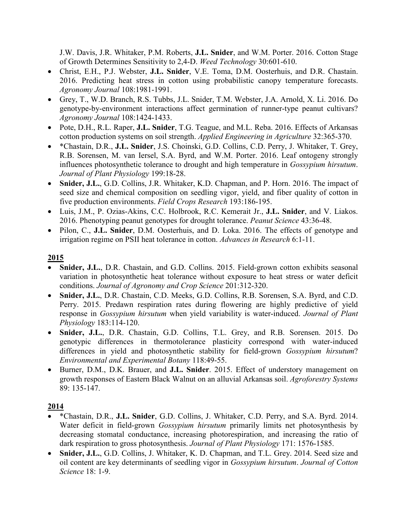J.W. Davis, J.R. Whitaker, P.M. Roberts, **J.L. Snider**, and W.M. Porter. 2016. Cotton Stage of Growth Determines Sensitivity to 2,4-D. *Weed Technology* 30:601-610.

- Christ, E.H., P.J. Webster, **J.L. Snider**, V.E. Toma, D.M. Oosterhuis, and D.R. Chastain. 2016. Predicting heat stress in cotton using probabilistic canopy temperature forecasts. *Agronomy Journal* 108:1981-1991.
- Grey, T., W.D. Branch, R.S. Tubbs, J.L. Snider, T.M. Webster, J.A. Arnold, X. Li. 2016. Do genotype-by-environment interactions affect germination of runner-type peanut cultivars? *Agronomy Journal* 108:1424-1433.
- Pote, D.H., R.L. Raper, **J.L. Snider**, T.G. Teague, and M.L. Reba. 2016. Effects of Arkansas cotton production systems on soil strength. *Applied Engineering in Agriculture* 32:365-370.
- \*Chastain, D.R., **J.L. Snider**, J.S. Choinski, G.D. Collins, C.D. Perry, J. Whitaker, T. Grey, R.B. Sorensen, M. van Iersel, S.A. Byrd, and W.M. Porter. 2016. Leaf ontogeny strongly influences photosynthetic tolerance to drought and high temperature in *Gossypium hirsutum*. *Journal of Plant Physiology* 199:18-28.
- Snider, J.L., G.D. Collins, J.R. Whitaker, K.D. Chapman, and P. Horn. 2016. The impact of seed size and chemical composition on seedling vigor, yield, and fiber quality of cotton in five production environments. *Field Crops Research* 193:186-195.
- Luis, J.M., P. Ozias-Akins, C.C. Holbrook, R.C. Kemerait Jr., **J.L. Snider**, and V. Liakos. 2016. Phenotyping peanut genotypes for drought tolerance. *Peanut Science* 43:36-48.
- Pilon, C., **J.L. Snider**, D.M. Oosterhuis, and D. Loka. 2016. The effects of genotype and irrigation regime on PSII heat tolerance in cotton. *Advances in Research* 6:1-11.

## **2015**

- **Snider, J.L.**, D.R. Chastain, and G.D. Collins. 2015. Field-grown cotton exhibits seasonal variation in photosynthetic heat tolerance without exposure to heat stress or water deficit conditions. *Journal of Agronomy and Crop Science* 201:312-320.
- **Snider, J.L.**, D.R. Chastain, C.D. Meeks, G.D. Collins, R.B. Sorensen, S.A. Byrd, and C.D. Perry. 2015. Predawn respiration rates during flowering are highly predictive of yield response in *Gossypium hirsutum* when yield variability is water-induced. *Journal of Plant Physiology* 183:114-120.
- **Snider, J.L.**, D.R. Chastain, G.D. Collins, T.L. Grey, and R.B. Sorensen. 2015. Do genotypic differences in thermotolerance plasticity correspond with water-induced differences in yield and photosynthetic stability for field-grown *Gossypium hirsutum*? *Environmental and Experimental Botany* 118:49-55.
- Burner, D.M., D.K. Brauer, and **J.L. Snider**. 2015. Effect of understory management on growth responses of Eastern Black Walnut on an alluvial Arkansas soil. *Agroforestry Systems*  89: 135-147.

- \*Chastain, D.R., **J.L. Snider**, G.D. Collins, J. Whitaker, C.D. Perry, and S.A. Byrd. 2014. Water deficit in field-grown *Gossypium hirsutum* primarily limits net photosynthesis by decreasing stomatal conductance, increasing photorespiration, and increasing the ratio of dark respiration to gross photosynthesis. *Journal of Plant Physiology* 171: 1576-1585.
- **Snider, J.L.**, G.D. Collins, J. Whitaker, K. D. Chapman, and T.L. Grey. 2014. Seed size and oil content are key determinants of seedling vigor in *Gossypium hirsutum*. *Journal of Cotton Science* 18: 1-9.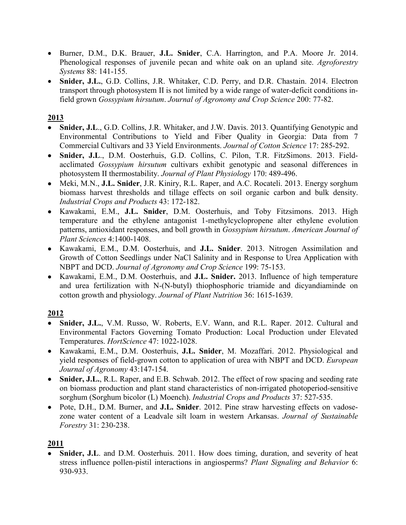- Burner, D.M., D.K. Brauer, **J.L. Snider**, C.A. Harrington, and P.A. Moore Jr. 2014. Phenological responses of juvenile pecan and white oak on an upland site. *Agroforestry Systems* 88: 141-155.
- **Snider, J.L.**, G.D. Collins, J.R. Whitaker, C.D. Perry, and D.R. Chastain. 2014. Electron transport through photosystem II is not limited by a wide range of water-deficit conditions infield grown *Gossypium hirsutum*. *Journal of Agronomy and Crop Science* 200: 77-82.

- **Snider, J.L**., G.D. Collins, J.R. Whitaker, and J.W. Davis. 2013. Quantifying Genotypic and Environmental Contributions to Yield and Fiber Quality in Georgia: Data from 7 Commercial Cultivars and 33 Yield Environments. *Journal of Cotton Science* 17: 285-292.
- **Snider, J.L**., D.M. Oosterhuis, G.D. Collins, C. Pilon, T.R. FitzSimons. 2013. Fieldacclimated *Gossypium hirsutum* cultivars exhibit genotypic and seasonal differences in photosystem II thermostability. *Journal of Plant Physiology* 170: 489-496.
- Meki, M.N., **J.L. Snider**, J.R. Kiniry, R.L. Raper, and A.C. Rocateli. 2013. Energy sorghum biomass harvest thresholds and tillage effects on soil organic carbon and bulk density. *Industrial Crops and Products* 43: 172-182.
- Kawakami, E.M., **J.L. Snider**, D.M. Oosterhuis, and Toby Fitzsimons. 2013. High temperature and the ethylene antagonist 1-methylcyclopropene alter ethylene evolution patterns, antioxidant responses, and boll growth in *Gossypium hirsutum*. *American Journal of Plant Sciences* 4:1400-1408.
- Kawakami, E.M., D.M. Oosterhuis, and **J.L. Snider**. 2013. [Nitrogen Assimilation and](http://onlinelibrary.wiley.com/doi/10.1111/jac.12002/abstract)  [Growth of Cotton Seedlings under NaCl Salinity and in Response to Urea Application with](http://onlinelibrary.wiley.com/doi/10.1111/jac.12002/abstract)  [NBPT and DCD.](http://onlinelibrary.wiley.com/doi/10.1111/jac.12002/abstract) *Journal of Agronomy and Crop Science* 199: 75-153.
- Kawakami, E.M., D.M. Oosterhuis, and **J.L. Snider.** 2013. Influence of high temperature and urea fertilization with N-(N-butyl) thiophosphoric triamide and dicyandiaminde on cotton growth and physiology. *Journal of Plant Nutrition* 36: 1615-1639.

## **2012**

- Snider, J.L., V.M. Russo, W. Roberts, E.V. Wann, and R.L. Raper. 2012. Cultural and Environmental Factors Governing Tomato Production: Local Production under Elevated Temperatures. *HortScience* 47: 1022-1028.
- Kawakami, E.M., D.M. Oosterhuis, **J.L. Snider**, M. Mozaffari. 2012. Physiological and yield responses of field-grown cotton to application of urea with NBPT and DCD. *European Journal of Agronomy* 43:147-154.
- Snider, J.L., R.L. Raper, and E.B. Schwab. 2012. The effect of row spacing and seeding rate on biomass production and plant stand characteristics of non-irrigated photoperiod-sensitive sorghum (Sorghum bicolor (L) Moench). *Industrial Crops and Products* 37: 527-535.
- Pote, D.H., D.M. Burner, and **J.L. Snider**. 2012. Pine straw harvesting effects on vadosezone water content of a Leadvale silt loam in western Arkansas. *Journal of Sustainable Forestry* 31: 230-238.

## **2011**

**Snider, J.L.** and D.M. Oosterhuis. 2011. How does timing, duration, and severity of heat stress influence pollen-pistil interactions in angiosperms? *Plant Signaling and Behavior* 6: 930-933.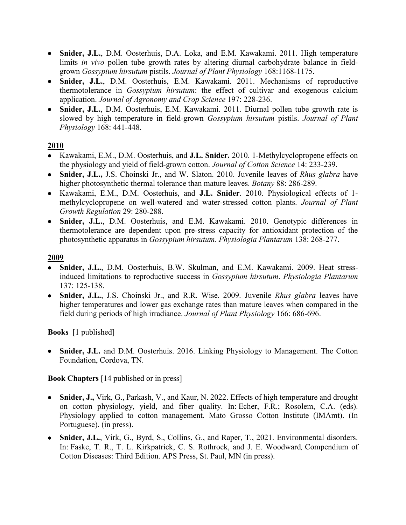- **Snider, J.L.**, D.M. Oosterhuis, D.A. Loka, and E.M. Kawakami. 2011. High temperature limits *in vivo* pollen tube growth rates by altering diurnal carbohydrate balance in fieldgrown *Gossypium hirsutum* pistils. *Journal of Plant Physiology* 168:1168-1175.
- **Snider, J.L.**, D.M. Oosterhuis, E.M. Kawakami. 2011. Mechanisms of reproductive thermotolerance in *Gossypium hirsutum*: the effect of cultivar and exogenous calcium application. *Journal of Agronomy and Crop Science* 197: 228-236.
- **Snider, J.L.**, D.M. Oosterhuis, E.M. Kawakami. 2011. Diurnal pollen tube growth rate is slowed by high temperature in field-grown *Gossypium hirsutum* pistils. *Journal of Plant Physiology* 168: 441-448.

- Kawakami, E.M., D.M. Oosterhuis, and **J.L. Snider.** 2010. 1-Methylcyclopropene effects on the physiology and yield of field-grown cotton. *Journal of Cotton Science* 14: 233-239.
- **Snider, J.L.,** J.S. Choinski Jr., and W. Slaton. 2010. Juvenile leaves of *Rhus glabra* have higher photosynthetic thermal tolerance than mature leaves. *Botany* 88: 286-289.
- Kawakami, E.M., D.M. Oosterhuis, and **J.L. Snider**. 2010. Physiological effects of 1 methylcyclopropene on well-watered and water-stressed cotton plants. *Journal of Plant Growth Regulation* 29: 280-288.
- **Snider, J.L.**, D.M. Oosterhuis, and E.M. Kawakami. 2010. Genotypic differences in thermotolerance are dependent upon pre-stress capacity for antioxidant protection of the photosynthetic apparatus in *Gossypium hirsutum*. *Physiologia Plantarum* 138: 268-277.

### **2009**

- **Snider, J.L.**, D.M. Oosterhuis, B.W. Skulman, and E.M. Kawakami. 2009. Heat stressinduced limitations to reproductive success in *Gossypium hirsutum*. *Physiologia Plantarum* 137: 125-138.
- **Snider, J.L.**, J.S. Choinski Jr., and R.R. Wise. 2009. Juvenile *Rhus glabra* leaves have higher temperatures and lower gas exchange rates than mature leaves when compared in the field during periods of high irradiance. *Journal of Plant Physiology* 166: 686-696.

**Books** [1 published]

• **Snider, J.L.** and D.M. Oosterhuis. 2016. Linking Physiology to Management. The Cotton Foundation, Cordova, TN.

## **Book Chapters** [14 published or in press]

- **Snider, J.,** Virk, G., Parkash, V., and Kaur, N. 2022. Effects of high temperature and drought on cotton physiology, yield, and fiber quality. In: Echer, F.R.; Rosolem, C.A. (eds). Physiology applied to cotton management. Mato Grosso Cotton Institute (IMAmt). (In Portuguese). (in press).
- Snider, J.L., Virk, G., Byrd, S., Collins, G., and Raper, T., 2021. Environmental disorders. In: Faske, T. R., T. L. Kirkpatrick, C. S. Rothrock, and J. E. Woodward*,* Compendium of Cotton Diseases: Third Edition. APS Press, St. Paul, MN (in press).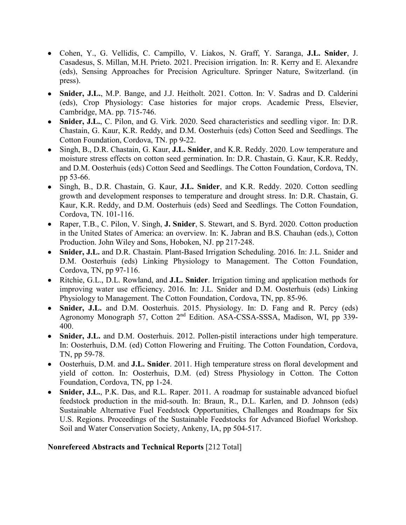- Cohen, Y., G. Vellidis, C. Campillo, V. Liakos, N. Graff, Y. Saranga, **J.L. Snider**, J. Casadesus, S. Millan, M.H. Prieto. 2021. Precision irrigation. In: R. Kerry and E. Alexandre (eds), Sensing Approaches for Precision Agriculture. Springer Nature, Switzerland. (in press).
- **Snider, J.L.**, M.P. Bange, and J.J. Heitholt. 2021. Cotton. In: V. Sadras and D. Calderini (eds), Crop Physiology: Case histories for major crops. Academic Press, Elsevier, Cambridge, MA. pp. 715-746.
- **Snider, J.L.**, C. Pilon, and G. Virk. 2020. Seed characteristics and seedling vigor. In: D.R. Chastain, G. Kaur, K.R. Reddy, and D.M. Oosterhuis (eds) Cotton Seed and Seedlings. The Cotton Foundation, Cordova, TN. pp 9-22.
- Singh, B., D.R. Chastain, G. Kaur, **J.L. Snider**, and K.R. Reddy. 2020. Low temperature and moisture stress effects on cotton seed germination. In: D.R. Chastain, G. Kaur, K.R. Reddy, and D.M. Oosterhuis (eds) Cotton Seed and Seedlings. The Cotton Foundation, Cordova, TN. pp 53-66.
- Singh, B., D.R. Chastain, G. Kaur, **J.L. Snider**, and K.R. Reddy. 2020. Cotton seedling growth and development responses to temperature and drought stress. In: D.R. Chastain, G. Kaur, K.R. Reddy, and D.M. Oosterhuis (eds) Seed and Seedlings. The Cotton Foundation, Cordova, TN. 101-116.
- Raper, T.B., C. Pilon, V. Singh, **J. Snider**, S. Stewart, and S. Byrd. 2020. Cotton production in the United States of America: an overview. In: K. Jabran and B.S. Chauhan (eds.), Cotton Production. John Wiley and Sons, Hoboken, NJ. pp 217-248.
- **Snider, J.L.** and D.R. Chastain. Plant-Based Irrigation Scheduling. 2016. In: J.L. Snider and D.M. Oosterhuis (eds) Linking Physiology to Management. The Cotton Foundation, Cordova, TN, pp 97-116.
- Ritchie, G.L., D.L. Rowland, and **J.L. Snider**. Irrigation timing and application methods for improving water use efficiency. 2016. In: J.L. Snider and D.M. Oosterhuis (eds) Linking Physiology to Management. The Cotton Foundation, Cordova, TN, pp. 85-96.
- **Snider, J.L.** and D.M. Oosterhuis. 2015. Physiology. In: D. Fang and R. Percy (eds) Agronomy Monograph 57, Cotton 2nd Edition. ASA-CSSA-SSSA, Madison, WI, pp 339- 400.
- **Snider, J.L.** and D.M. Oosterhuis. 2012. Pollen-pistil interactions under high temperature. In: Oosterhuis, D.M. (ed) Cotton Flowering and Fruiting. The Cotton Foundation, Cordova, TN, pp 59-78.
- Oosterhuis, D.M. and **J.L. Snider**. 2011. High temperature stress on floral development and yield of cotton. In: Oosterhuis, D.M. (ed) Stress Physiology in Cotton. The Cotton Foundation, Cordova, TN, pp 1-24.
- **Snider, J.L.**, P.K. Das, and R.L. Raper. 2011. A roadmap for sustainable advanced biofuel feedstock production in the mid-south. In: Braun, R., D.L. Karlen, and D. Johnson (eds) Sustainable Alternative Fuel Feedstock Opportunities, Challenges and Roadmaps for Six U.S. Regions. Proceedings of the Sustainable Feedstocks for Advanced Biofuel Workshop. Soil and Water Conservation Society, Ankeny, IA, pp 504-517.

#### **Nonrefereed Abstracts and Technical Reports** [212 Total]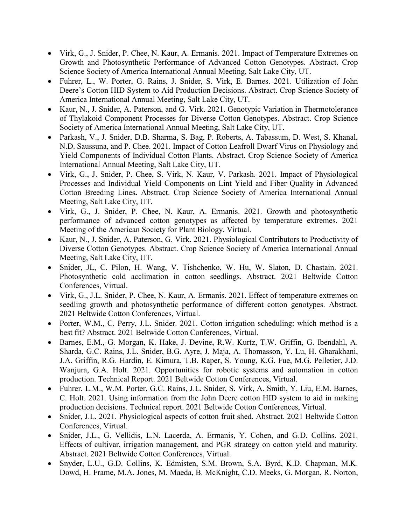- Virk, G., J. Snider, P. Chee, N. Kaur, A. [Ermanis. 2021. Impact of Temperature](https://scisoc.confex.com/scisoc/2021am/prelim.cgi/Paper/133138) Extremes on Growth [and Photosynthetic Performance of Advanced Cotton Genotypes.](https://scisoc.confex.com/scisoc/2021am/prelim.cgi/Paper/133138) Abstract. Crop Science Society of America International Annual Meeting, Salt Lake City, UT.
- Fuhrer, L., W. Porter, G. Rains, J. Snider, S. Virk, E. Barnes. 2021. [Utilization of John](https://scisoc.confex.com/scisoc/2021am/prelim.cgi/Paper/135151)  Deere's Cotton HID System to [Aid Production Decisions.](https://scisoc.confex.com/scisoc/2021am/prelim.cgi/Paper/135151) Abstract. Crop Science Society of America International Annual Meeting, Salt Lake City, UT.
- Kaur, N., J. Snider, A. Paterson, and G. Virk. 2021. [Genotypic Variation](https://scisoc.confex.com/scisoc/2021am/prelim.cgi/Paper/136382) in Thermotolerance [of Thylakoid Component Processes](https://scisoc.confex.com/scisoc/2021am/prelim.cgi/Paper/136382) for Diverse Cotton Genotypes. Abstract. Crop Science Society of America International Annual Meeting, Salt Lake City, UT.
- Parkash, V., J. Snider, D.B. Sharma, S. Bag, P. Roberts, A. Tabassum, D. West, S. Khanal, N.D. Saussuna, and P. Chee. 2021. [Impact of Cotton Leafroll](https://scisoc.confex.com/scisoc/2021am/prelim.cgi/Paper/135735) Dwarf Virus on Physiology and [Yield Components of Individual Cotton Plants.](https://scisoc.confex.com/scisoc/2021am/prelim.cgi/Paper/135735) Abstract. Crop Science Society of America International Annual Meeting, Salt Lake City, UT.
- Virk, G., J. Snider, P. Chee, S. Virk, N. Kaur, V. Parkash. 2021. [Impact of Physiological](https://scisoc.confex.com/scisoc/2021am/prelim.cgi/Paper/134351) Processes [and Individual Yield Components on Lint](https://scisoc.confex.com/scisoc/2021am/prelim.cgi/Paper/134351) Yield and Fiber Quality in Advanced [Cotton Breeding](https://scisoc.confex.com/scisoc/2021am/prelim.cgi/Paper/134351) Lines**.** Abstract. Crop Science Society of America International Annual Meeting, Salt Lake City, UT.
- Virk, G., J. Snider, P. Chee, N. Kaur, A. Ermanis. 2021. Growth and photosynthetic performance of advanced cotton genotypes as affected by temperature extremes. 2021 Meeting of the American Society for Plant Biology. Virtual.
- Kaur, N., J. Snider, A. Paterson, G. Virk. 2021. [Physiological Contributors to Productivity of](https://scisoc.confex.com/scisoc/2021am/prelim.cgi/Paper/136445)  [Diverse Cotton Genotypes.](https://scisoc.confex.com/scisoc/2021am/prelim.cgi/Paper/136445) Abstract. Crop Science Society of America International Annual Meeting, Salt Lake City, UT.
- Snider, JL, C. Pilon, H. Wang, V. Tishchenko, W. Hu, W. Slaton, D. Chastain. 2021. Photosynthetic cold acclimation in cotton seedlings. Abstract. 2021 Beltwide Cotton Conferences, Virtual.
- Virk, G., J.L. Snider, P. Chee, N. Kaur, A. Ermanis. 2021. Effect of temperature extremes on seedling growth and photosynthetic performance of different cotton genotypes. Abstract. 2021 Beltwide Cotton Conferences, Virtual.
- Porter, W.M., C. Perry, J.L. Snider. 2021. Cotton irrigation scheduling: which method is a best fit? Abstract. 2021 Beltwide Cotton Conferences, Virtual.
- Barnes, E.M., G. Morgan, K. Hake, J. Devine, R.W. Kurtz, T.W. Griffin, G. Ibendahl, A. Sharda, G.C. Rains, J.L. Snider, B.G. Ayre, J. Maja, A. Thomasson, Y. Lu, H. Gharakhani, J.A. Griffin, R.G. Hardin, E. Kimura, T.B. Raper, S. Young, K.G. Fue, M.G. Pelletier, J.D. Wanjura, G.A. Holt. 2021. Opportunities for robotic systems and automation in cotton production. Technical Report. 2021 Beltwide Cotton Conferences, Virtual.
- Fuhrer, L.M., W.M. Porter, G.C. Rains, J.L. Snider, S. Virk, A. Smith, Y. Liu, E.M. Barnes, C. Holt. 2021. Using information from the John Deere cotton HID system to aid in making production decisions. Technical report. 2021 Beltwide Cotton Conferences, Virtual.
- Snider, J.L. 2021. Physiological aspects of cotton fruit shed. Abstract. 2021 Beltwide Cotton Conferences, Virtual.
- Snider, J.L., G. Vellidis, L.N. Lacerda, A. Ermanis, Y. Cohen, and G.D. Collins. 2021. Effects of cultivar, irrigation management, and PGR strategy on cotton yield and maturity. Abstract. 2021 Beltwide Cotton Conferences, Virtual.
- Snyder, L.U., G.D. Collins, K. Edmisten, S.M. Brown, S.A. Byrd, K.D. Chapman, M.K. Dowd, H. Frame, M.A. Jones, M. Maeda, B. McKnight, C.D. Meeks, G. Morgan, R. Norton,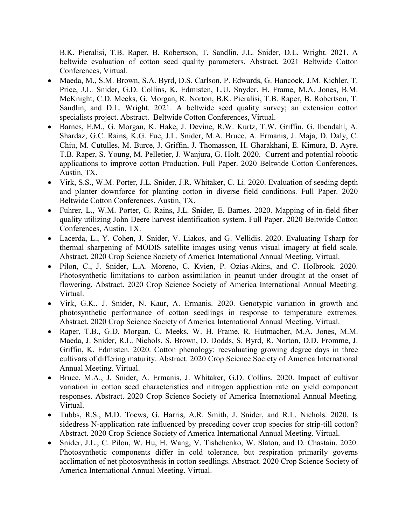B.K. Pieralisi, T.B. Raper, B. Robertson, T. Sandlin, J.L. Snider, D.L. Wright. 2021. A beltwide evaluation of cotton seed quality parameters. Abstract. 2021 Beltwide Cotton Conferences, Virtual.

- Maeda, M., S.M. Brown, S.A. Byrd, D.S. Carlson, P. Edwards, G. Hancock, J.M. Kichler, T. Price, J.L. Snider, G.D. Collins, K. Edmisten, L.U. Snyder. H. Frame, M.A. Jones, B.M. McKnight, C.D. Meeks, G. Morgan, R. Norton, B.K. Pieralisi, T.B. Raper, B. Robertson, T. Sandlin, and D.L. Wright. 2021. A beltwide seed quality survey; an extension cotton specialists project. Abstract. Beltwide Cotton Conferences, Virtual.
- Barnes, E.M., G. Morgan, K. Hake, J. Devine, R.W. Kurtz, T.W. Griffin, G. Ibendahl, A. Shardaz, G.C. Rains, K.G. Fue, J.L. Snider, M.A. Bruce, A. Ermanis, J. Maja, D. Daly, C. Chiu, M. Cutulles, M. Burce, J. Griffin, J. Thomasson, H. Gharakhani, E. Kimura, B. Ayre, T.B. Raper, S. Young, M. Pelletier, J. Wanjura, G. Holt. 2020. Current and potential robotic applications to improve cotton Production. Full Paper. 2020 Beltwide Cotton Conferences, Austin, TX.
- Virk, S.S., W.M. Porter, J.L. Snider, J.R. Whitaker, C. Li. 2020. Evaluation of seeding depth and planter downforce for planting cotton in diverse field conditions. Full Paper. 2020 Beltwide Cotton Conferences, Austin, TX.
- Fuhrer, L., W.M. Porter, G. Rains, J.L. Snider, E. Barnes. 2020. Mapping of in-field fiber quality utilizing John Deere harvest identification system. Full Paper. 2020 Beltwide Cotton Conferences, Austin, TX.
- Lacerda, L., Y. Cohen, J. Snider, V. Liakos, and G. Vellidis. 2020. Evaluating Tsharp for thermal sharpening of MODIS satellite images using venus visual imagery at field scale. Abstract. 2020 Crop Science Society of America International Annual Meeting. Virtual.
- Pilon, C., J. Snider, L.A. Moreno, C. Kvien, P. Ozias-Akins, and C. Holbrook. 2020. Photosynthetic limitations to carbon assimilation in peanut under drought at the onset of flowering. Abstract. 2020 Crop Science Society of America International Annual Meeting. Virtual.
- Virk, G.K., J. Snider, N. Kaur, A. Ermanis. 2020. Genotypic variation in growth and photosynthetic performance of cotton seedlings in response to temperature extremes. Abstract. 2020 Crop Science Society of America International Annual Meeting. Virtual.
- Raper, T.B., G.D. Morgan, C. Meeks, W. H. Frame, R. Hutmacher, M.A. Jones, M.M. Maeda, J. Snider, R.L. Nichols, S. Brown, D. Dodds, S. Byrd, R. Norton, D.D. Fromme, J. Griffin, K. Edmisten. 2020. Cotton phenology: reevaluating growing degree days in three cultivars of differing maturity. Abstract. 2020 Crop Science Society of America International Annual Meeting. Virtual.
- Bruce, M.A., J. Snider, A. Ermanis, J. Whitaker, G.D. Collins. 2020. Impact of cultivar variation in cotton seed characteristics and nitrogen application rate on yield component responses. Abstract. 2020 Crop Science Society of America International Annual Meeting. Virtual.
- Tubbs, R.S., M.D. Toews, G. Harris, A.R. Smith, J. Snider, and R.L. Nichols. 2020. Is sidedress N-application rate influenced by preceding cover crop species for strip-till cotton? Abstract. 2020 Crop Science Society of America International Annual Meeting. Virtual.
- Snider, J.L., C. Pilon, W. Hu, H. Wang, V. Tishchenko, W. Slaton, and D. Chastain. 2020. Photosynthetic components differ in cold tolerance, but respiration primarily governs acclimation of net photosynthesis in cotton seedlings. Abstract. 2020 Crop Science Society of America International Annual Meeting. Virtual.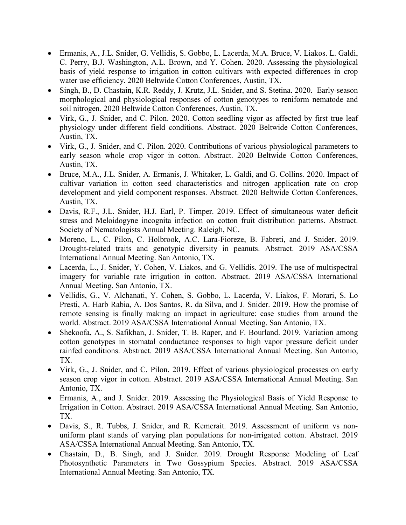- Ermanis, A., J.L. Snider, G. Vellidis, S. Gobbo, L. Lacerda, M.A. Bruce, V. Liakos. L. Galdi, C. Perry, B.J. Washington, A.L. Brown, and Y. Cohen. 2020. Assessing the physiological basis of yield response to irrigation in cotton cultivars with expected differences in crop water use efficiency. 2020 Beltwide Cotton Conferences, Austin, TX.
- Singh, B., D. Chastain, K.R. Reddy, J. Krutz, J.L. Snider, and S. Stetina. 2020. Early-season morphological and physiological responses of cotton genotypes to reniform nematode and soil nitrogen. 2020 Beltwide Cotton Conferences, Austin, TX.
- Virk, G., J. Snider, and C. Pilon. 2020. Cotton seedling vigor as affected by first true leaf physiology under different field conditions. Abstract. 2020 Beltwide Cotton Conferences, Austin, TX.
- Virk, G., J. Snider, and C. Pilon. 2020. Contributions of various physiological parameters to early season whole crop vigor in cotton. Abstract. 2020 Beltwide Cotton Conferences, Austin, TX.
- Bruce, M.A., J.L. Snider, A. Ermanis, J. Whitaker, L. Galdi, and G. Collins. 2020. [Impact of](http://www.cotton.org/beltwide/proceedings/2005-2020/data/conferences/2020/paper/19956.pdf)  [cultivar variation in cotton seed characteristics and nitrogen application rate on crop](http://www.cotton.org/beltwide/proceedings/2005-2020/data/conferences/2020/paper/19956.pdf)  [development and yield component responses.](http://www.cotton.org/beltwide/proceedings/2005-2020/data/conferences/2020/paper/19956.pdf) Abstract. 2020 Beltwide Cotton Conferences, Austin, TX.
- Davis, R.F., J.L. Snider, H.J. Earl, P. Timper. 2019. Effect of simultaneous water deficit stress and Meloidogyne incognita infection on cotton fruit distribution patterns. Abstract. Society of Nematologists Annual Meeting. Raleigh, NC.
- Moreno, L., C. Pilon, C. Holbrook, A.C. Lara-Fioreze, B. Fabreti, and J. Snider. 2019. Drought-related traits and genotypic diversity in peanuts. Abstract. 2019 ASA/CSSA International Annual Meeting. San Antonio, TX.
- Lacerda, L., J. Snider, Y. Cohen, V. Liakos, and G. Vellidis. 2019. The use of multispectral imagery for variable rate irrigation in cotton. Abstract. 2019 ASA/CSSA International Annual Meeting. San Antonio, TX.
- Vellidis, G., V. Alchanati, Y. Cohen, S. Gobbo, L. Lacerda, V. Liakos, F. Morari, S. Lo Presti, A. Harb Rabia, A. Dos Santos, R. da Silva, and J. Snider. 2019. How the promise of remote sensing is finally making an impact in agriculture: case studies from around the world. Abstract. 2019 ASA/CSSA International Annual Meeting. San Antonio, TX.
- Shekoofa, A., S. Safikhan, J. Snider, T. B. Raper, and F. Bourland. 2019. Variation among cotton genotypes in stomatal conductance responses to high vapor pressure deficit under rainfed conditions. Abstract. 2019 ASA/CSSA International Annual Meeting. San Antonio, TX.
- Virk, G., J. Snider, and C. Pilon. 2019. Effect of various physiological processes on early season crop vigor in cotton. Abstract. 2019 ASA/CSSA International Annual Meeting. San Antonio, TX.
- Ermanis, A., and J. Snider. 2019. Assessing the Physiological Basis of Yield Response to Irrigation in Cotton. Abstract. 2019 ASA/CSSA International Annual Meeting. San Antonio, TX.
- Davis, S., R. Tubbs, J. Snider, and R. Kemerait. 2019. Assessment of uniform vs nonuniform plant stands of varying plan populations for non-irrigated cotton. Abstract. 2019 ASA/CSSA International Annual Meeting. San Antonio, TX.
- Chastain, D., B. Singh, and J. Snider. 2019. Drought Response Modeling of Leaf Photosynthetic Parameters in Two Gossypium Species. Abstract. 2019 ASA/CSSA International Annual Meeting. San Antonio, TX.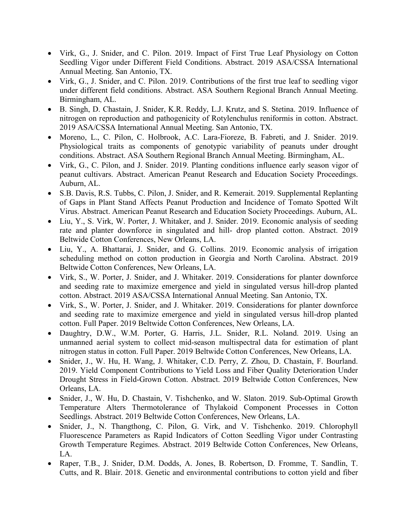- Virk, G., J. Snider, and C. Pilon. 2019. Impact of First True Leaf Physiology on Cotton Seedling Vigor under Different Field Conditions. Abstract. 2019 ASA/CSSA International Annual Meeting. San Antonio, TX.
- Virk, G., J. Snider, and C. Pilon. 2019. Contributions of the first true leaf to seedling vigor under different field conditions. Abstract. ASA Southern Regional Branch Annual Meeting. Birmingham, AL.
- B. Singh, D. Chastain, J. Snider, K.R. Reddy, L.J. Krutz, and S. Stetina. 2019. Influence of nitrogen on reproduction and pathogenicity of Rotylenchulus reniformis in cotton. Abstract. 2019 ASA/CSSA International Annual Meeting. San Antonio, TX.
- Moreno, L., C. Pilon, C. Holbrook, A.C. Lara-Fioreze, B. Fabreti, and J. Snider. 2019. Physiological traits as components of genotypic variability of peanuts under drought conditions. Abstract. ASA Southern Regional Branch Annual Meeting. Birmingham, AL.
- Virk, G., C. Pilon, and J. Snider. 2019. Planting conditions influence early season vigor of peanut cultivars. Abstract. American Peanut Research and Education Society Proceedings. Auburn, AL.
- S.B. Davis, R.S. Tubbs, C. Pilon, J. Snider, and R. Kemerait. 2019. Supplemental Replanting of Gaps in Plant Stand Affects Peanut Production and Incidence of Tomato Spotted Wilt Virus. Abstract. American Peanut Research and Education Society Proceedings. Auburn, AL.
- Liu, Y., S. Virk, W. Porter, J. Whitaker, and J. Snider. 2019. Economic analysis of seeding rate and planter downforce in singulated and hill- drop planted cotton. Abstract. 2019 Beltwide Cotton Conferences, New Orleans, LA.
- Liu, Y., A. Bhattarai, J. Snider, and G. Collins. 2019. Economic analysis of irrigation scheduling method on cotton production in Georgia and North Carolina. Abstract. 2019 Beltwide Cotton Conferences, New Orleans, LA.
- Virk, S., W. Porter, J. Snider, and J. Whitaker. 2019. Considerations for planter downforce and seeding rate to maximize emergence and yield in singulated versus hill-drop planted cotton. Abstract. 2019 ASA/CSSA International Annual Meeting. San Antonio, TX.
- Virk, S., W. Porter, J. Snider, and J. Whitaker. 2019. Considerations for planter downforce and seeding rate to maximize emergence and yield in singulated versus hill-drop planted cotton. Full Paper. 2019 Beltwide Cotton Conferences, New Orleans, LA.
- Daughtry, D.W., W.M. Porter, G. Harris, J.L. Snider, R.L. Noland. 2019. Using an unmanned aerial system to collect mid-season multispectral data for estimation of plant nitrogen status in cotton. Full Paper. 2019 Beltwide Cotton Conferences, New Orleans, LA.
- Snider, J., W. Hu, H. Wang, J. Whitaker, C.D. Perry, Z. Zhou, D. Chastain, F. Bourland. 2019. Yield Component Contributions to Yield Loss and Fiber Quality Deterioration Under Drought Stress in Field-Grown Cotton. Abstract. 2019 Beltwide Cotton Conferences, New Orleans, LA.
- Snider, J., W. Hu, D. Chastain, V. Tishchenko, and W. Slaton. 2019. Sub-Optimal Growth Temperature Alters Thermotolerance of Thylakoid Component Processes in Cotton Seedlings. Abstract. 2019 Beltwide Cotton Conferences, New Orleans, LA.
- Snider, J., N. Thangthong, C. Pilon, G. Virk, and V. Tishchenko. 2019. Chlorophyll Fluorescence Parameters as Rapid Indicators of Cotton Seedling Vigor under Contrasting Growth Temperature Regimes. Abstract. 2019 Beltwide Cotton Conferences, New Orleans, LA.
- Raper, T.B., J. Snider, D.M. Dodds, A. Jones, B. Robertson, D. Fromme, T. Sandlin, T. Cutts, and R. Blair. 2018. Genetic and environmental contributions to cotton yield and fiber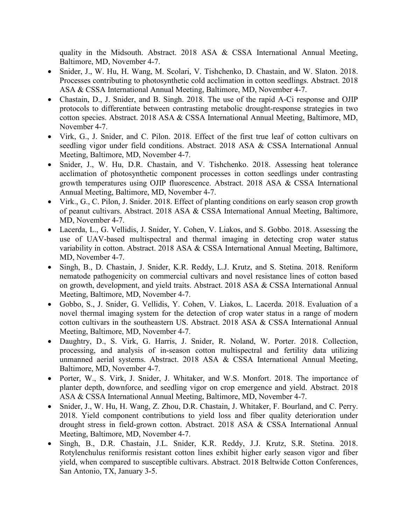quality in the Midsouth. Abstract. 2018 ASA & CSSA International Annual Meeting, Baltimore, MD, November 4-7.

- Snider, J., W. Hu, H. Wang, M. Scolari, V. Tishchenko, D. Chastain, and W. Slaton. 2018. Processes contributing to photosynthetic cold acclimation in cotton seedlings. Abstract. 2018 ASA & CSSA International Annual Meeting, Baltimore, MD, November 4-7.
- Chastain, D., J. Snider, and B. Singh. 2018. The use of the rapid A-Ci response and OJIP protocols to differentiate between contrasting metabolic drought-response strategies in two cotton species. Abstract. 2018 ASA & CSSA International Annual Meeting, Baltimore, MD, November 4-7.
- Virk, G., J. Snider, and C. Pilon. 2018. Effect of the first true leaf of cotton cultivars on seedling vigor under field conditions. Abstract. 2018 ASA & CSSA International Annual Meeting, Baltimore, MD, November 4-7.
- Snider, J., W. Hu, D.R. Chastain, and V. Tishchenko. 2018. Assessing heat tolerance acclimation of photosynthetic component processes in cotton seedlings under contrasting growth temperatures using OJIP fluorescence. Abstract. 2018 ASA & CSSA International Annual Meeting, Baltimore, MD, November 4-7.
- Virk., G., C. Pilon, J. Snider. 2018. Effect of planting conditions on early season crop growth of peanut cultivars. Abstract. 2018 ASA & CSSA International Annual Meeting, Baltimore, MD, November 4-7.
- Lacerda, L., G. Vellidis, J. Snider, Y. Cohen, V. Liakos, and S. Gobbo. 2018. Assessing the use of UAV-based multispectral and thermal imaging in detecting crop water status variability in cotton. Abstract. 2018 ASA & CSSA International Annual Meeting, Baltimore, MD, November 4-7.
- Singh, B., D. Chastain, J. Snider, K.R. Reddy, L.J. Krutz, and S. Stetina. 2018. Reniform nematode pathogenicity on commercial cultivars and novel resistance lines of cotton based on growth, development, and yield traits. Abstract. 2018 ASA & CSSA International Annual Meeting, Baltimore, MD, November 4-7.
- Gobbo, S., J. Snider, G. Vellidis, Y. Cohen, V. Liakos, L. Lacerda. 2018. Evaluation of a novel thermal imaging system for the detection of crop water status in a range of modern cotton cultivars in the southeastern US. Abstract. 2018 ASA & CSSA International Annual Meeting, Baltimore, MD, November 4-7.
- Daughtry, D., S. Virk, G. Harris, J. Snider, R. Noland, W. Porter. 2018. Collection, processing, and analysis of in-season cotton multispectral and fertility data utilizing unmanned aerial systems. Abstract. 2018 ASA & CSSA International Annual Meeting, Baltimore, MD, November 4-7.
- Porter, W., S. Virk, J. Snider, J. Whitaker, and W.S. Monfort. 2018. The importance of planter depth, downforce, and seedling vigor on crop emergence and yield. Abstract. 2018 ASA & CSSA International Annual Meeting, Baltimore, MD, November 4-7.
- Snider, J., W. Hu, H. Wang, Z. Zhou, D.R. Chastain, J. Whitaker, F. Bourland, and C. Perry. 2018. Yield component contributions to yield loss and fiber quality deterioration under drought stress in field-grown cotton. Abstract. 2018 ASA & CSSA International Annual Meeting, Baltimore, MD, November 4-7.
- Singh, B., D.R. Chastain, J.L. Snider, K.R. Reddy, J.J. Krutz, S.R. Stetina. 2018. Rotylenchulus reniformis resistant cotton lines exhibit higher early season vigor and fiber yield, when compared to susceptible cultivars. Abstract. 2018 Beltwide Cotton Conferences, San Antonio, TX, January 3-5.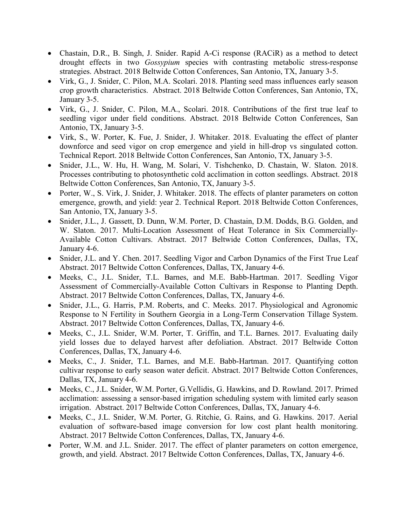- Chastain, D.R., B. Singh, J. Snider. Rapid A-Ci response (RACiR) as a method to detect drought effects in two *Gossypium* species with contrasting metabolic stress-response strategies. Abstract. 2018 Beltwide Cotton Conferences, San Antonio, TX, January 3-5.
- Virk, G., J. Snider, C. Pilon, M.A. Scolari. 2018. Planting seed mass influences early season crop growth characteristics. Abstract. 2018 Beltwide Cotton Conferences, San Antonio, TX, January 3-5.
- Virk, G., J. Snider, C. Pilon, M.A., Scolari. 2018. Contributions of the first true leaf to seedling vigor under field conditions. Abstract. 2018 Beltwide Cotton Conferences, San Antonio, TX, January 3-5.
- Virk, S., W. Porter, K. Fue, J. Snider, J. Whitaker. 2018. Evaluating the effect of planter downforce and seed vigor on crop emergence and yield in hill-drop vs singulated cotton. Technical Report. 2018 Beltwide Cotton Conferences, San Antonio, TX, January 3-5.
- Snider, J.L., W. Hu, H. Wang, M. Solari, V. Tishchenko, D. Chastain, W. Slaton. 2018. Processes contributing to photosynthetic cold acclimation in cotton seedlings. Abstract. 2018 Beltwide Cotton Conferences, San Antonio, TX, January 3-5.
- Porter, W., S. Virk, J. Snider, J. Whitaker. 2018. The effects of planter parameters on cotton emergence, growth, and yield: year 2. Technical Report. 2018 Beltwide Cotton Conferences, San Antonio, TX, January 3-5.
- Snider, J.L., J. Gassett, D. Dunn, W.M. Porter, D. Chastain, D.M. Dodds, B.G. Golden, and W. Slaton. 2017. [Multi-Location Assessment of Heat Tolerance in Six Commercially-](http://www.cotton.org/beltwide/proceedings/2005-2017/data/conferences/2017/papers/17425.pdf#page=1)[Available Cotton Cultivars.](http://www.cotton.org/beltwide/proceedings/2005-2017/data/conferences/2017/papers/17425.pdf#page=1) Abstract. 2017 Beltwide Cotton Conferences, Dallas, TX, January 4-6.
- Snider, J.L. and Y. Chen. 2017. [Seedling Vigor and Carbon Dynamics of the First True Leaf](http://www.cotton.org/beltwide/proceedings/2005-2017/data/conferences/2017/papers/17427.pdf#page=1) Abstract. 2017 Beltwide Cotton Conferences, Dallas, TX, January 4-6.
- Meeks, C., J.L. Snider, T.L. Barnes, and M.E. Babb-Hartman. 2017. [Seedling Vigor](http://www.cotton.org/beltwide/proceedings/2005-2017/data/conferences/2017/papers/17783.pdf#page=1)  [Assessment of Commercially-Available Cotton Cultivars in Response to Planting Depth.](http://www.cotton.org/beltwide/proceedings/2005-2017/data/conferences/2017/papers/17783.pdf#page=1) Abstract. 2017 Beltwide Cotton Conferences, Dallas, TX, January 4-6.
- Snider, J.L., G. Harris, P.M. Roberts, and C. Meeks. 2017. Physiological and Agronomic Response to N Fertility in Southern Georgia in a Long-Term Conservation Tillage System. Abstract. 2017 Beltwide Cotton Conferences, Dallas, TX, January 4-6.
- Meeks, C., J.L. Snider, W.M. Porter, T. Griffin, and T.L. Barnes. 2017. Evaluating daily yield losses due to delayed harvest after defoliation. Abstract. 2017 Beltwide Cotton Conferences, Dallas, TX, January 4-6.
- Meeks, C., J. Snider, T.L. Barnes, and M.E. Babb-Hartman. 2017. Quantifying cotton cultivar response to early season water deficit. Abstract. 2017 Beltwide Cotton Conferences, Dallas, TX, January 4-6.
- Meeks, C., J.L. Snider, W.M. Porter, G.Vellidis, G. Hawkins, and D. Rowland. 2017. Primed acclimation: assessing a sensor-based irrigation scheduling system with limited early season irrigation. Abstract. 2017 Beltwide Cotton Conferences, Dallas, TX, January 4-6.
- Meeks, C., J.L. Snider, W.M. Porter, G. Ritchie, G. Rains, and G. Hawkins. 2017. Aerial evaluation of software-based image conversion for low cost plant health monitoring. Abstract. 2017 Beltwide Cotton Conferences, Dallas, TX, January 4-6.
- Porter, W.M. and J.L. Snider. 2017. The effect of planter parameters on cotton emergence, growth, and yield. Abstract. 2017 Beltwide Cotton Conferences, Dallas, TX, January 4-6.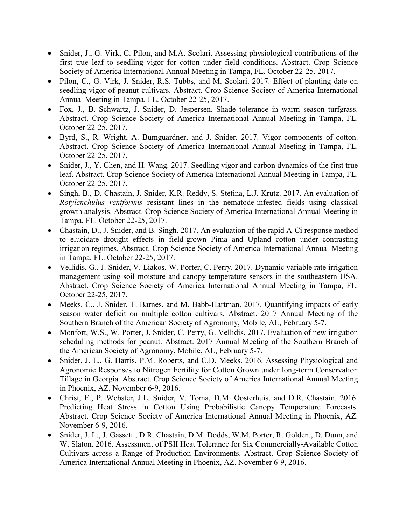- Snider, J., G. Virk, C. Pilon, and M.A. Scolari. Assessing physiological contributions of the first true leaf to seedling vigor for cotton under field conditions. Abstract. Crop Science Society of America International Annual Meeting in Tampa, FL. October 22-25, 2017.
- Pilon, C., G. Virk, J. Snider, R.S. Tubbs, and M. Scolari. 2017. Effect of planting date on seedling vigor of peanut cultivars. Abstract. Crop Science Society of America International Annual Meeting in Tampa, FL. October 22-25, 2017.
- Fox, J., B. Schwartz, J. Snider, D. Jespersen. Shade tolerance in warm season turfgrass. Abstract. Crop Science Society of America International Annual Meeting in Tampa, FL. October 22-25, 2017.
- Byrd, S., R. Wright, A. Bumguardner, and J. Snider. 2017. Vigor components of cotton. Abstract. Crop Science Society of America International Annual Meeting in Tampa, FL. October 22-25, 2017.
- Snider, J., Y. Chen, and H. Wang. 2017. Seedling vigor and carbon dynamics of the first true leaf. Abstract. Crop Science Society of America International Annual Meeting in Tampa, FL. October 22-25, 2017.
- Singh, B., D. Chastain, J. Snider, K.R. Reddy, S. Stetina, L.J. Krutz. 2017. An evaluation of *Rotylenchulus reniformis* resistant lines in the nematode-infested fields using classical growth analysis. Abstract. Crop Science Society of America International Annual Meeting in Tampa, FL. October 22-25, 2017.
- Chastain, D., J. Snider, and B. Singh. 2017. An evaluation of the rapid A-Ci response method to elucidate drought effects in field-grown Pima and Upland cotton under contrasting irrigation regimes. Abstract. Crop Science Society of America International Annual Meeting in Tampa, FL. October 22-25, 2017.
- Vellidis, G., J. Snider, V. Liakos, W. Porter, C. Perry. 2017. Dynamic variable rate irrigation management using soil moisture and canopy temperature sensors in the southeastern USA. Abstract. Crop Science Society of America International Annual Meeting in Tampa, FL. October 22-25, 2017.
- Meeks, C., J. Snider, T. Barnes, and M. Babb-Hartman. 2017. Quantifying impacts of early season water deficit on multiple cotton cultivars. Abstract. 2017 Annual Meeting of the Southern Branch of the American Society of Agronomy, Mobile, AL, February 5-7.
- Monfort, W.S., W. Porter, J. Snider, C. Perry, G. Vellidis. 2017. Evaluation of new irrigation scheduling methods for peanut. Abstract. 2017 Annual Meeting of the Southern Branch of the American Society of Agronomy, Mobile, AL, February 5-7.
- Snider, J. L., G. Harris, P.M. Roberts, and C.D. Meeks. 2016. Assessing Physiological and Agronomic Responses to Nitrogen Fertility for Cotton Grown under long-term Conservation Tillage in Georgia. Abstract. Crop Science Society of America International Annual Meeting in Phoenix, AZ. November 6-9, 2016.
- Christ, E., P. Webster, J.L. Snider, V. Toma, D.M. Oosterhuis, and D.R. Chastain. 2016. Predicting Heat Stress in Cotton Using Probabilistic Canopy Temperature Forecasts. Abstract. Crop Science Society of America International Annual Meeting in Phoenix, AZ. November 6-9, 2016.
- Snider, J. L., J. Gassett., D.R. Chastain, D.M. Dodds, W.M. Porter, R. Golden., D. Dunn, and W. Slaton. 2016. Assessment of PSII Heat Tolerance for Six Commercially-Available Cotton Cultivars across a Range of Production Environments. Abstract. Crop Science Society of America International Annual Meeting in Phoenix, AZ. November 6-9, 2016.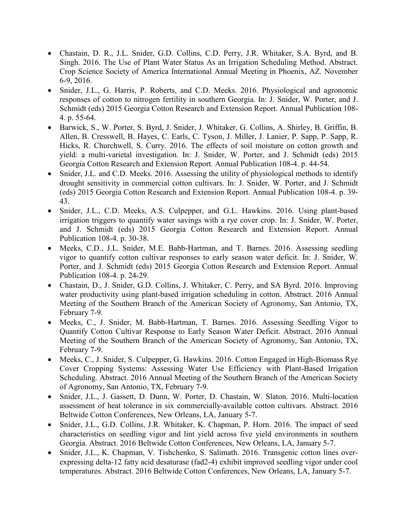- Chastain, D. R., J.L. Snider, G.D. Collins, C.D. Perry, J.R. Whitaker, S.A. Byrd, and B. Singh. 2016. The Use of Plant Water Status As an Irrigation Scheduling Method. Abstract. Crop Science Society of America International Annual Meeting in Phoenix, AZ. November 6-9, 2016.
- Snider, J.L., G. Harris, P. Roberts, and C.D. Meeks. 2016. Physiological and agronomic responses of cotton to nitrogen fertility in southern Georgia. In: J. Snider, W. Porter, and J. Schmidt (eds) 2015 Georgia Cotton Research and Extension Report. Annual Publication 108- 4. p. 55-64.
- Barwick, S., W. Porter, S. Byrd, J. Snider, J. Whitaker, G. Collins, A. Shirley, B. Griffin, B. Allen, B. Cresswell, B. Hayes, C. Earls, C. Tyson, J. Miller, J. Lanier, P. Sapp, P. Sapp, R. Hicks, R. Churchwell, S. Curry. 2016. The effects of soil moisture on cotton growth and yield: a multi-varietal investigation. In: J. Snider, W. Porter, and J. Schmidt (eds) 2015 Georgia Cotton Research and Extension Report. Annual Publication 108-4. p. 44-54.
- Snider, J.L. and C.D. Meeks. 2016. Assessing the utility of physiological methods to identify drought sensitivity in commercial cotton cultivars. In: J. Snider, W. Porter, and J. Schmidt (eds) 2015 Georgia Cotton Research and Extension Report. Annual Publication 108-4. p. 39- 43.
- Snider, J.L., C.D. Meeks, A.S. Culpepper, and G.L. Hawkins. 2016. Using plant-based irrigation triggers to quantify water savings with a rye cover crop. In: J. Snider, W. Porter, and J. Schmidt (eds) 2015 Georgia Cotton Research and Extension Report. Annual Publication 108-4. p. 30-38.
- Meeks, C.D., J.L. Snider, M.E. Babb-Hartman, and T. Barnes. 2016. Assessing seedling vigor to quantify cotton cultivar responses to early season water deficit. In: J. Snider, W. Porter, and J. Schmidt (eds) 2015 Georgia Cotton Research and Extension Report. Annual Publication 108-4. p. 24-29.
- Chastain, D., J. Snider, G.D. Collins, J. Whitaker, C. Perry, and SA Byrd. 2016. Improving water productivity using plant-based irrigation scheduling in cotton. Abstract. 2016 Annual Meeting of the Southern Branch of the American Society of Agronomy, San Antonio, TX, February 7-9.
- Meeks, C., J. Snider, M. Babb-Hartman, T. Barnes. 2016. Assessing Seedling Vigor to Quantify Cotton Cultivar Response to Early Season Water Deficit. Abstract. 2016 Annual Meeting of the Southern Branch of the American Society of Agronomy, San Antonio, TX, February 7-9.
- Meeks, C., J. Snider, S. Culpepper, G. Hawkins. 2016. Cotton Engaged in High-Biomass Rye Cover Cropping Systems: Assessing Water Use Efficiency with Plant-Based Irrigation Scheduling. Abstract. 2016 Annual Meeting of the Southern Branch of the American Society of Agronomy, San Antonio, TX, February 7-9.
- Snider, J.L., J. Gassett, D. Dunn, W. Porter, D. Chastain, W. Slaton. 2016. Multi-location assessment of heat tolerance in six commercially-available cotton cultivars. Abstract. 2016 Beltwide Cotton Conferences, New Orleans, LA, January 5-7.
- Snider, J.L., G.D. Collins, J.R. Whitaker, K. Chapman, P. Horn. 2016. The impact of seed characteristics on seedling vigor and lint yield across five yield environments in southern Georgia. Abstract. 2016 Beltwide Cotton Conferences, New Orleans, LA, January 5-7.
- Snider, J.L., K. Chapman, V. Tishchenko, S. Salimath. 2016. Transgenic cotton lines overexpressing delta-12 fatty acid desaturase (fad2-4) exhibit improved seedling vigor under cool temperatures. Abstract. 2016 Beltwide Cotton Conferences, New Orleans, LA, January 5-7.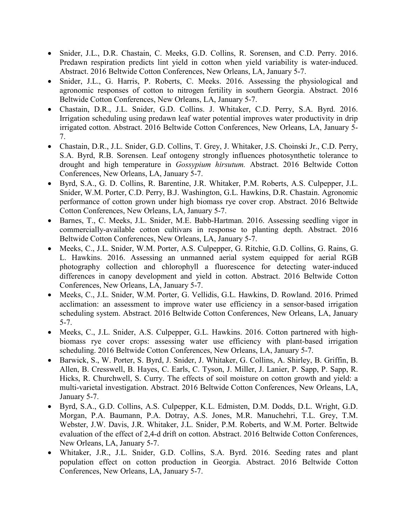- Snider, J.L., D.R. Chastain, C. Meeks, G.D. Collins, R. Sorensen, and C.D. Perry. 2016. Predawn respiration predicts lint yield in cotton when yield variability is water-induced. Abstract. 2016 Beltwide Cotton Conferences, New Orleans, LA, January 5-7.
- Snider, J.L., G. Harris, P. Roberts, C. Meeks. 2016. Assessing the physiological and agronomic responses of cotton to nitrogen fertility in southern Georgia. Abstract. 2016 Beltwide Cotton Conferences, New Orleans, LA, January 5-7.
- Chastain, D.R., J.L. Snider, G.D. Collins. J. Whitaker, C.D. Perry, S.A. Byrd. 2016. Irrigation scheduling using predawn leaf water potential improves water productivity in drip irrigated cotton. Abstract. 2016 Beltwide Cotton Conferences, New Orleans, LA, January 5- 7.
- Chastain, D.R., J.L. Snider, G.D. Collins, T. Grey, J. Whitaker, J.S. Choinski Jr., C.D. Perry, S.A. Byrd, R.B. Sorensen. Leaf ontogeny strongly influences photosynthetic tolerance to drought and high temperature in *Gossypium hirsutum.* Abstract. 2016 Beltwide Cotton Conferences, New Orleans, LA, January 5-7.
- Byrd, S.A., G. D. Collins, R. Barentine, J.R. Whitaker, P.M. Roberts, A.S. Culpepper, J.L. Snider, W.M. Porter, C.D. Perry, B.J. Washington, G.L. Hawkins, D.R. Chastain. Agronomic performance of cotton grown under high biomass rye cover crop. Abstract. 2016 Beltwide Cotton Conferences, New Orleans, LA, January 5-7.
- Barnes, T., C. Meeks, J.L. Snider, M.E. Babb-Hartman. 2016. Assessing seedling vigor in commercially-available cotton cultivars in response to planting depth. Abstract. 2016 Beltwide Cotton Conferences, New Orleans, LA, January 5-7.
- Meeks, C., J.L. Snider, W.M. Porter, A.S. Culpepper, G. Ritchie, G.D. Collins, G. Rains, G. L. Hawkins. 2016. Assessing an unmanned aerial system equipped for aerial RGB photography collection and chlorophyll a fluorescence for detecting water-induced differences in canopy development and yield in cotton. Abstract. 2016 Beltwide Cotton Conferences, New Orleans, LA, January 5-7.
- Meeks, C., J.L. Snider, W.M. Porter, G. Vellidis, G.L. Hawkins, D. Rowland. 2016. Primed acclimation: an assessment to improve water use efficiency in a sensor-based irrigation scheduling system. Abstract. 2016 Beltwide Cotton Conferences, New Orleans, LA, January 5-7.
- Meeks, C., J.L. Snider, A.S. Culpepper, G.L. Hawkins. 2016. Cotton partnered with highbiomass rye cover crops: assessing water use efficiency with plant-based irrigation scheduling. 2016 Beltwide Cotton Conferences, New Orleans, LA, January 5-7.
- Barwick, S., W. Porter, S. Byrd, J. Snider, J. Whitaker, G. Collins, A. Shirley, B. Griffin, B. Allen, B. Cresswell, B. Hayes, C. Earls, C. Tyson, J. Miller, J. Lanier, P. Sapp, P. Sapp, R. Hicks, R. Churchwell, S. Curry. The effects of soil moisture on cotton growth and yield: a multi-varietal investigation. Abstract. 2016 Beltwide Cotton Conferences, New Orleans, LA, January 5-7.
- Byrd, S.A., G.D. Collins, A.S. Culpepper, K.L. Edmisten, D.M. Dodds, D.L. Wright, G.D. Morgan, P.A. Baumann, P.A. Dotray, A.S. Jones, M.R. Manuchehri, T.L. Grey, T.M. Webster, J.W. Davis, J.R. Whitaker, J.L. Snider, P.M. Roberts, and W.M. Porter. Beltwide evaluation of the effect of 2,4-d drift on cotton. Abstract. 2016 Beltwide Cotton Conferences, New Orleans, LA, January 5-7.
- Whitaker, J.R., J.L. Snider, G.D. Collins, S.A. Byrd. 2016. Seeding rates and plant population effect on cotton production in Georgia. Abstract. 2016 Beltwide Cotton Conferences, New Orleans, LA, January 5-7.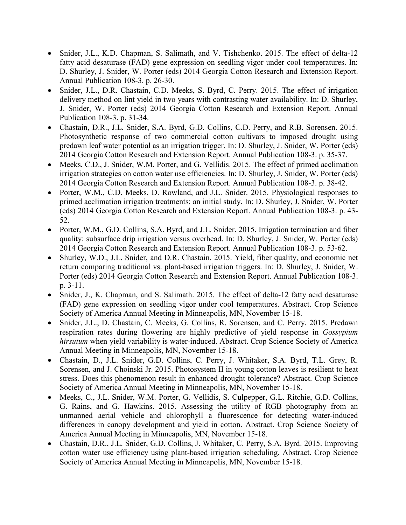- Snider, J.L., K.D. Chapman, S. Salimath, and V. Tishchenko. 2015. The effect of delta-12 fatty acid desaturase (FAD) gene expression on seedling vigor under cool temperatures. In: D. Shurley, J. Snider, W. Porter (eds) 2014 Georgia Cotton Research and Extension Report. Annual Publication 108-3. p. 26-30.
- Snider, J.L., D.R. Chastain, C.D. Meeks, S. Byrd, C. Perry. 2015. The effect of irrigation delivery method on lint yield in two years with contrasting water availability. In: D. Shurley, J. Snider, W. Porter (eds) 2014 Georgia Cotton Research and Extension Report. Annual Publication 108-3. p. 31-34.
- Chastain, D.R., J.L. Snider, S.A. Byrd, G.D. Collins, C.D. Perry, and R.B. Sorensen. 2015. Photosynthetic response of two commercial cotton cultivars to imposed drought using predawn leaf water potential as an irrigation trigger. In: D. Shurley, J. Snider, W. Porter (eds) 2014 Georgia Cotton Research and Extension Report. Annual Publication 108-3. p. 35-37.
- Meeks, C.D., J. Snider, W.M. Porter, and G. Vellidis. 2015. The effect of primed acclimation irrigation strategies on cotton water use efficiencies. In: D. Shurley, J. Snider, W. Porter (eds) 2014 Georgia Cotton Research and Extension Report. Annual Publication 108-3. p. 38-42.
- Porter, W.M., C.D. Meeks, D. Rowland, and J.L. Snider. 2015. Physiological responses to primed acclimation irrigation treatments: an initial study. In: D. Shurley, J. Snider, W. Porter (eds) 2014 Georgia Cotton Research and Extension Report. Annual Publication 108-3. p. 43- 52.
- Porter, W.M., G.D. Collins, S.A. Byrd, and J.L. Snider. 2015. Irrigation termination and fiber quality: subsurface drip irrigation versus overhead. In: D. Shurley, J. Snider, W. Porter (eds) 2014 Georgia Cotton Research and Extension Report. Annual Publication 108-3. p. 53-62.
- Shurley, W.D., J.L. Snider, and D.R. Chastain. 2015. Yield, fiber quality, and economic net return comparing traditional vs. plant-based irrigation triggers. In: D. Shurley, J. Snider, W. Porter (eds) 2014 Georgia Cotton Research and Extension Report. Annual Publication 108-3. p. 3-11.
- Snider, J., K. Chapman, and S. Salimath. 2015. The effect of delta-12 fatty acid desaturase (FAD) gene expression on seedling vigor under cool temperatures. Abstract. Crop Science Society of America Annual Meeting in Minneapolis, MN, November 15-18.
- Snider, J.L., D. Chastain, C. Meeks, G. Collins, R. Sorensen, and C. Perry. 2015. Predawn respiration rates during flowering are highly predictive of yield response in *Gossypium hirsutum* when yield variability is water-induced. Abstract. Crop Science Society of America Annual Meeting in Minneapolis, MN, November 15-18.
- Chastain, D., J.L. Snider, G.D. Collins, C. Perry, J. Whitaker, S.A. Byrd, T.L. Grey, R. Sorensen, and J. Choinski Jr. 2015. Photosystem II in young cotton leaves is resilient to heat stress. Does this phenomenon result in enhanced drought tolerance? Abstract. Crop Science Society of America Annual Meeting in Minneapolis, MN, November 15-18.
- Meeks, C., J.L. Snider, W.M. Porter, G. Vellidis, S. Culpepper, G.L. Ritchie, G.D. Collins, G. Rains, and G. Hawkins. 2015. Assessing the utility of RGB photography from an unmanned aerial vehicle and chlorophyll a fluorescence for detecting water-induced differences in canopy development and yield in cotton. Abstract. Crop Science Society of America Annual Meeting in Minneapolis, MN, November 15-18.
- Chastain, D.R., J.L. Snider, G.D. Collins, J. Whitaker, C. Perry, S.A. Byrd. 2015. Improving cotton water use efficiency using plant-based irrigation scheduling. Abstract. Crop Science Society of America Annual Meeting in Minneapolis, MN, November 15-18.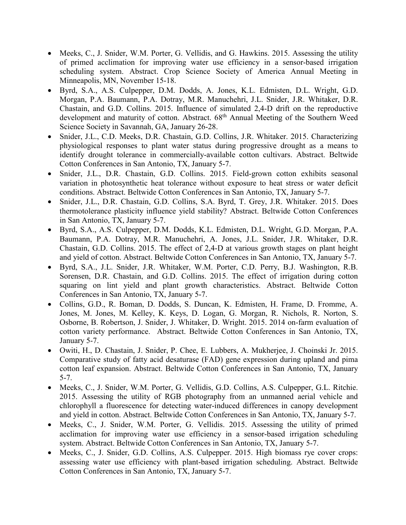- Meeks, C., J. Snider, W.M. Porter, G. Vellidis, and G. Hawkins. 2015. Assessing the utility of primed acclimation for improving water use efficiency in a sensor-based irrigation scheduling system. Abstract. Crop Science Society of America Annual Meeting in Minneapolis, MN, November 15-18.
- Byrd, S.A., A.S. Culpepper, D.M. Dodds, A. Jones, K.L. Edmisten, D.L. Wright, G.D. Morgan, P.A. Baumann, P.A. Dotray, M.R. Manuchehri, J.L. Snider, J.R. Whitaker, D.R. Chastain, and G.D. Collins. 2015. Influence of simulated 2,4-D drift on the reproductive development and maturity of cotton. Abstract. 68<sup>th</sup> Annual Meeting of the Southern Weed Science Society in Savannah, GA, January 26-28.
- Snider, J.L., C.D. Meeks, D.R. Chastain, G.D. Collins, J.R. Whitaker. 2015. Characterizing physiological responses to plant water status during progressive drought as a means to identify drought tolerance in commercially-available cotton cultivars. Abstract. Beltwide Cotton Conferences in San Antonio, TX, January 5-7.
- Snider, J.L., D.R. Chastain, G.D. Collins. 2015. Field-grown cotton exhibits seasonal variation in photosynthetic heat tolerance without exposure to heat stress or water deficit conditions. Abstract. Beltwide Cotton Conferences in San Antonio, TX, January 5-7.
- Snider, J.L., D.R. Chastain, G.D. Collins, S.A. Byrd, T. Grey, J.R. Whitaker. 2015. Does thermotolerance plasticity influence yield stability? Abstract. Beltwide Cotton Conferences in San Antonio, TX, January 5-7.
- Byrd, S.A., A.S. Culpepper, D.M. Dodds, K.L. Edmisten, D.L. Wright, G.D. Morgan, P.A. Baumann, P.A. Dotray, M.R. Manuchehri, A. Jones, J.L. Snider, J.R. Whitaker, D.R. Chastain, G.D. Collins. 2015. The effect of 2,4-D at various growth stages on plant height and yield of cotton. Abstract. Beltwide Cotton Conferences in San Antonio, TX, January 5-7.
- Byrd, S.A., J.L. Snider, J.R. Whitaker, W.M. Porter, C.D. Perry, B.J. Washington, R.B. Sorensen, D.R. Chastain, and G.D. Collins. 2015. The effect of irrigation during cotton squaring on lint yield and plant growth characteristics. Abstract. Beltwide Cotton Conferences in San Antonio, TX, January 5-7.
- Collins, G.D., R. Boman, D. Dodds, S. Duncan, K. Edmisten, H. Frame, D. Fromme, A. Jones, M. Jones, M. Kelley, K. Keys, D. Logan, G. Morgan, R. Nichols, R. Norton, S. Osborne, B. Robertson, J. Snider, J. Whitaker, D. Wright. 2015. 2014 on-farm evaluation of cotton variety performance. Abstract. Beltwide Cotton Conferences in San Antonio, TX, January 5-7.
- Owiti, H., D. Chastain, J. Snider, P. Chee, E. Lubbers, A. Mukherjee, J. Choinski Jr. 2015. Comparative study of fatty acid desaturase (FAD) gene expression during upland and pima cotton leaf expansion. Abstract. Beltwide Cotton Conferences in San Antonio, TX, January 5-7.
- Meeks, C., J. Snider, W.M. Porter, G. Vellidis, G.D. Collins, A.S. Culpepper, G.L. Ritchie. 2015. Assessing the utility of RGB photography from an unmanned aerial vehicle and chlorophyll a fluorescence for detecting water-induced differences in canopy development and yield in cotton. Abstract. Beltwide Cotton Conferences in San Antonio, TX, January 5-7.
- Meeks, C., J. Snider, W.M. Porter, G. Vellidis. 2015. Assessing the utility of primed acclimation for improving water use efficiency in a sensor-based irrigation scheduling system. Abstract. Beltwide Cotton Conferences in San Antonio, TX, January 5-7.
- Meeks, C., J. Snider, G.D. Collins, A.S. Culpepper. 2015. High biomass rye cover crops: assessing water use efficiency with plant-based irrigation scheduling. Abstract. Beltwide Cotton Conferences in San Antonio, TX, January 5-7.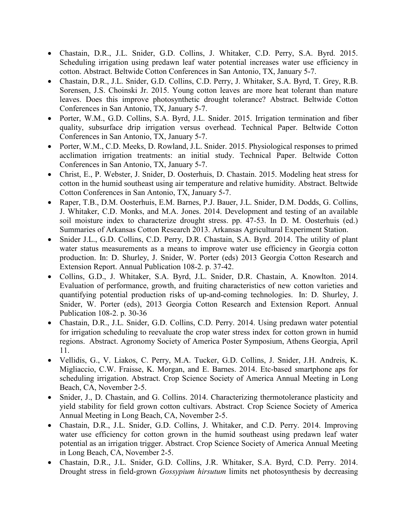- Chastain, D.R., J.L. Snider, G.D. Collins, J. Whitaker, C.D. Perry, S.A. Byrd. 2015. Scheduling irrigation using predawn leaf water potential increases water use efficiency in cotton. Abstract. Beltwide Cotton Conferences in San Antonio, TX, January 5-7.
- Chastain, D.R., J.L. Snider, G.D. Collins, C.D. Perry, J. Whitaker, S.A. Byrd, T. Grey, R.B. Sorensen, J.S. Choinski Jr. 2015. Young cotton leaves are more heat tolerant than mature leaves. Does this improve photosynthetic drought tolerance? Abstract. Beltwide Cotton Conferences in San Antonio, TX, January 5-7.
- Porter, W.M., G.D. Collins, S.A. Byrd, J.L. Snider. 2015. Irrigation termination and fiber quality, subsurface drip irrigation versus overhead. Technical Paper. Beltwide Cotton Conferences in San Antonio, TX, January 5-7.
- Porter, W.M., C.D. Meeks, D. Rowland, J.L. Snider. 2015. Physiological responses to primed acclimation irrigation treatments: an initial study. Technical Paper. Beltwide Cotton Conferences in San Antonio, TX, January 5-7.
- Christ, E., P. Webster, J. Snider, D. Oosterhuis, D. Chastain. 2015. Modeling heat stress for cotton in the humid southeast using air temperature and relative humidity. Abstract. Beltwide Cotton Conferences in San Antonio, TX, January 5-7.
- Raper, T.B., D.M. Oosterhuis, E.M. Barnes, P.J. Bauer, J.L. Snider, D.M. Dodds, G. Collins, J. Whitaker, C.D. Monks, and M.A. Jones. 2014. Development and testing of an available soil moisture index to characterize drought stress. pp. 47-53. In D. M. Oosterhuis (ed.) Summaries of Arkansas Cotton Research 2013. Arkansas Agricultural Experiment Station.
- Snider J.L., G.D. Collins, C.D. Perry, D.R. Chastain, S.A. Byrd. 2014. The utility of plant water status measurements as a means to improve water use efficiency in Georgia cotton production. In: D. Shurley, J. Snider, W. Porter (eds) 2013 Georgia Cotton Research and Extension Report. Annual Publication 108-2. p. 37-42.
- Collins, G.D., J. Whitaker, S.A. Byrd, J.L. Snider, D.R. Chastain, A. Knowlton. 2014. Evaluation of performance, growth, and fruiting characteristics of new cotton varieties and quantifying potential production risks of up-and-coming technologies. In: D. Shurley, J. Snider, W. Porter (eds), 2013 Georgia Cotton Research and Extension Report. Annual Publication 108-2. p. 30-36
- Chastain, D.R., J.L. Snider, G.D. Collins, C.D. Perry. 2014. Using predawn water potential for irrigation scheduling to reevaluate the crop water stress index for cotton grown in humid regions. Abstract. Agronomy Society of America Poster Symposium, Athens Georgia, April 11.
- Vellidis, G., V. Liakos, C. Perry, M.A. Tucker, G.D. Collins, J. Snider, J.H. Andreis, K. Migliaccio, C.W. Fraisse, K. Morgan, and E. Barnes. 2014. Etc-based smartphone aps for scheduling irrigation. Abstract. Crop Science Society of America Annual Meeting in Long Beach, CA, November 2-5.
- Snider, J., D. Chastain, and G. Collins. 2014. Characterizing thermotolerance plasticity and yield stability for field grown cotton cultivars. Abstract. Crop Science Society of America Annual Meeting in Long Beach, CA, November 2-5.
- Chastain, D.R., J.L. Snider, G.D. Collins, J. Whitaker, and C.D. Perry. 2014. Improving water use efficiency for cotton grown in the humid southeast using predawn leaf water potential as an irrigation trigger. Abstract. Crop Science Society of America Annual Meeting in Long Beach, CA, November 2-5.
- Chastain, D.R., J.L. Snider, G.D. Collins, J.R. Whitaker, S.A. Byrd, C.D. Perry. 2014. Drought stress in field-grown *Gossypium hirsutum* limits net photosynthesis by decreasing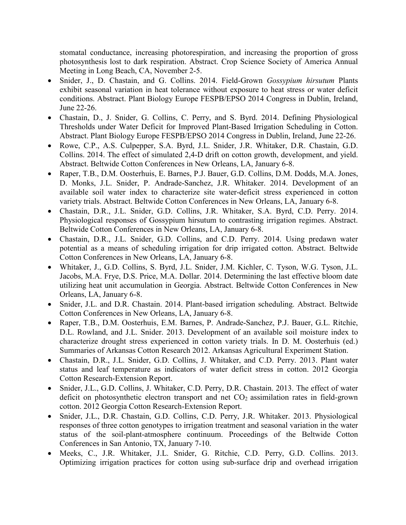stomatal conductance, increasing photorespiration, and increasing the proportion of gross photosynthesis lost to dark respiration. Abstract. Crop Science Society of America Annual Meeting in Long Beach, CA, November 2-5.

- Snider, J., D. Chastain, and G. Collins. 2014. Field-Grown *Gossypium hirsutum* Plants exhibit seasonal variation in heat tolerance without exposure to heat stress or water deficit conditions. Abstract. Plant Biology Europe FESPB/EPSO 2014 Congress in Dublin, Ireland, June 22-26.
- Chastain, D., J. Snider, G. Collins, C. Perry, and S. Byrd. 2014. Defining Physiological Thresholds under Water Deficit for Improved Plant-Based Irrigation Scheduling in Cotton. Abstract. Plant Biology Europe FESPB/EPSO 2014 Congress in Dublin, Ireland, June 22-26.
- Rowe, C.P., A.S. Culpepper, S.A. Byrd, J.L. Snider, J.R. Whitaker, D.R. Chastain, G.D. Collins. 2014. The effect of simulated 2,4-D drift on cotton growth, development, and yield. Abstract. Beltwide Cotton Conferences in New Orleans, LA, January 6-8.
- Raper, T.B., D.M. Oosterhuis, E. Barnes, P.J. Bauer, G.D. Collins, D.M. Dodds, M.A. Jones, D. Monks, J.L. Snider, P. Andrade-Sanchez, J.R. Whitaker. 2014. Development of an available soil water index to characterize site water-deficit stress experienced in cotton variety trials. Abstract. Beltwide Cotton Conferences in New Orleans, LA, January 6-8.
- Chastain, D.R., J.L. Snider, G.D. Collins, J.R. Whitaker, S.A. Byrd, C.D. Perry. 2014. Physiological responses of Gossypium hirsutum to contrasting irrigation regimes. Abstract. Beltwide Cotton Conferences in New Orleans, LA, January 6-8.
- Chastain, D.R., J.L. Snider, G.D. Collins, and C.D. Perry. 2014. Using predawn water potential as a means of scheduling irrigation for drip irrigated cotton. Abstract. Beltwide Cotton Conferences in New Orleans, LA, January 6-8.
- Whitaker, J., G.D. Collins, S. Byrd, J.L. Snider, J.M. Kichler, C. Tyson, W.G. Tyson, J.L. Jacobs, M.A. Frye, D.S. Price, M.A. Dollar. 2014. Determining the last effective bloom date utilizing heat unit accumulation in Georgia. Abstract. Beltwide Cotton Conferences in New Orleans, LA, January 6-8.
- Snider, J.L. and D.R. Chastain. 2014. Plant-based irrigation scheduling. Abstract. Beltwide Cotton Conferences in New Orleans, LA, January 6-8.
- Raper, T.B., D.M. Oosterhuis, E.M. Barnes, P. Andrade-Sanchez, P.J. Bauer, G.L. Ritchie, D.L. Rowland, and J.L. Snider. 2013. Development of an available soil moisture index to characterize drought stress experienced in cotton variety trials. In D. M. Oosterhuis (ed.) Summaries of Arkansas Cotton Research 2012. Arkansas Agricultural Experiment Station.
- Chastain, D.R., J.L. Snider, G.D. Collins, J. Whitaker, and C.D. Perry. 2013. Plant water status and leaf temperature as indicators of water deficit stress in cotton. 2012 Georgia Cotton Research-Extension Report.
- Snider, J.L., G.D. Collins, J. Whitaker, C.D. Perry, D.R. Chastain. 2013. The effect of water deficit on photosynthetic electron transport and net  $CO<sub>2</sub>$  assimilation rates in field-grown cotton. 2012 Georgia Cotton Research-Extension Report.
- Snider, J.L., D.R. Chastain, G.D. Collins, C.D. Perry, J.R. Whitaker. 2013. Physiological responses of three cotton genotypes to irrigation treatment and seasonal variation in the water status of the soil-plant-atmosphere continuum. Proceedings of the Beltwide Cotton Conferences in San Antonio, TX, January 7-10.
- Meeks, C., J.R. Whitaker, J.L. Snider, G. Ritchie, C.D. Perry, G.D. Collins. 2013. Optimizing irrigation practices for cotton using sub-surface drip and overhead irrigation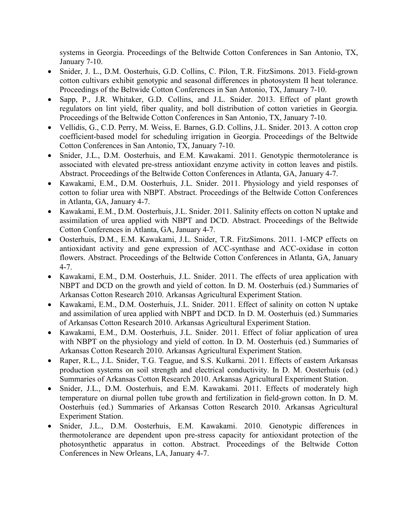systems in Georgia. Proceedings of the Beltwide Cotton Conferences in San Antonio, TX, January 7-10.

- Snider, J. L., D.M. Oosterhuis, G.D. Collins, C. Pilon, T.R. FitzSimons. 2013. Field-grown cotton cultivars exhibit genotypic and seasonal differences in photosystem II heat tolerance. Proceedings of the Beltwide Cotton Conferences in San Antonio, TX, January 7-10.
- Sapp, P., J.R. Whitaker, G.D. Collins, and J.L. Snider. 2013. Effect of plant growth regulators on lint yield, fiber quality, and boll distribution of cotton varieties in Georgia. Proceedings of the Beltwide Cotton Conferences in San Antonio, TX, January 7-10.
- Vellidis, G., C.D. Perry, M. Weiss, E. Barnes, G.D. Collins, J.L. Snider. 2013. A cotton crop coefficient-based model for scheduling irrigation in Georgia. Proceedings of the Beltwide Cotton Conferences in San Antonio, TX, January 7-10.
- Snider, J.L., D.M. Oosterhuis, and E.M. Kawakami. 2011. Genotypic thermotolerance is associated with elevated pre-stress antioxidant enzyme activity in cotton leaves and pistils. Abstract. Proceedings of the Beltwide Cotton Conferences in Atlanta, GA, January 4-7.
- Kawakami, E.M., D.M. Oosterhuis, J.L. Snider. 2011. Physiology and yield responses of cotton to foliar urea with NBPT. Abstract. Proceedings of the Beltwide Cotton Conferences in Atlanta, GA, January 4-7.
- Kawakami, E.M., D.M. Oosterhuis, J.L. Snider. 2011. Salinity effects on cotton N uptake and assimilation of urea applied with NBPT and DCD. Abstract. Proceedings of the Beltwide Cotton Conferences in Atlanta, GA, January 4-7.
- Oosterhuis, D.M., E.M. Kawakami, J.L. Snider, T.R. FitzSimons. 2011. 1-MCP effects on antioxidant activity and gene expression of ACC-synthase and ACC-oxidase in cotton flowers. Abstract. Proceedings of the Beltwide Cotton Conferences in Atlanta, GA, January 4-7.
- Kawakami, E.M., D.M. Oosterhuis, J.L. Snider. 2011. The effects of urea application with NBPT and DCD on the growth and yield of cotton. In D. M. Oosterhuis (ed.) Summaries of Arkansas Cotton Research 2010. Arkansas Agricultural Experiment Station.
- Kawakami, E.M., D.M. Oosterhuis, J.L. Snider. 2011. Effect of salinity on cotton N uptake and assimilation of urea applied with NBPT and DCD. In D. M. Oosterhuis (ed.) Summaries of Arkansas Cotton Research 2010. Arkansas Agricultural Experiment Station.
- Kawakami, E.M., D.M. Oosterhuis, J.L. Snider. 2011. Effect of foliar application of urea with NBPT on the physiology and yield of cotton. In D. M. Oosterhuis (ed.) Summaries of Arkansas Cotton Research 2010. Arkansas Agricultural Experiment Station.
- Raper, R.L., J.L. Snider, T.G. Teague, and S.S. Kulkarni. 2011. Effects of eastern Arkansas production systems on soil strength and electrical conductivity. In D. M. Oosterhuis (ed.) Summaries of Arkansas Cotton Research 2010. Arkansas Agricultural Experiment Station.
- Snider, J.L., D.M. Oosterhuis, and E.M. Kawakami. 2011. Effects of moderately high temperature on diurnal pollen tube growth and fertilization in field-grown cotton. In D. M. Oosterhuis (ed.) Summaries of Arkansas Cotton Research 2010. Arkansas Agricultural Experiment Station.
- Snider, J.L., D.M. Oosterhuis, E.M. Kawakami. 2010. Genotypic differences in thermotolerance are dependent upon pre-stress capacity for antioxidant protection of the photosynthetic apparatus in cotton. Abstract. Proceedings of the Beltwide Cotton Conferences in New Orleans, LA, January 4-7.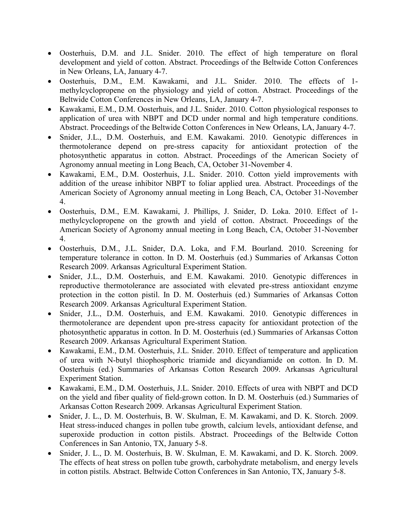- Oosterhuis, D.M. and J.L. Snider. 2010. The effect of high temperature on floral development and yield of cotton. Abstract. Proceedings of the Beltwide Cotton Conferences in New Orleans, LA, January 4-7.
- Oosterhuis, D.M., E.M. Kawakami, and J.L. Snider. 2010. The effects of 1 methylcyclopropene on the physiology and yield of cotton. Abstract. Proceedings of the Beltwide Cotton Conferences in New Orleans, LA, January 4-7.
- Kawakami, E.M., D.M. Oosterhuis, and J.L. Snider. 2010. Cotton physiological responses to application of urea with NBPT and DCD under normal and high temperature conditions. Abstract. Proceedings of the Beltwide Cotton Conferences in New Orleans, LA, January 4-7.
- Snider, J.L., D.M. Oosterhuis, and E.M. Kawakami. 2010. Genotypic differences in thermotolerance depend on pre-stress capacity for antioxidant protection of the photosynthetic apparatus in cotton. Abstract. Proceedings of the American Society of Agronomy annual meeting in Long Beach, CA, October 31-November 4.
- Kawakami, E.M., D.M. Oosterhuis, J.L. Snider. 2010. Cotton yield improvements with addition of the urease inhibitor NBPT to foliar applied urea. Abstract. Proceedings of the American Society of Agronomy annual meeting in Long Beach, CA, October 31-November 4.
- Oosterhuis, D.M., E.M. Kawakami, J. Phillips, J. Snider, D. Loka. 2010. Effect of 1 methylcyclopropene on the growth and yield of cotton. Abstract. Proceedings of the American Society of Agronomy annual meeting in Long Beach, CA, October 31-November 4.
- Oosterhuis, D.M., J.L. Snider, D.A. Loka, and F.M. Bourland. 2010. Screening for temperature tolerance in cotton. In D. M. Oosterhuis (ed.) Summaries of Arkansas Cotton Research 2009. Arkansas Agricultural Experiment Station.
- Snider, J.L., D.M. Oosterhuis, and E.M. Kawakami. 2010. Genotypic differences in reproductive thermotolerance are associated with elevated pre-stress antioxidant enzyme protection in the cotton pistil. In D. M. Oosterhuis (ed.) Summaries of Arkansas Cotton Research 2009. Arkansas Agricultural Experiment Station.
- Snider, J.L., D.M. Oosterhuis, and E.M. Kawakami. 2010. Genotypic differences in thermotolerance are dependent upon pre-stress capacity for antioxidant protection of the photosynthetic apparatus in cotton. In D. M. Oosterhuis (ed.) Summaries of Arkansas Cotton Research 2009. Arkansas Agricultural Experiment Station.
- Kawakami, E.M., D.M. Oosterhuis, J.L. Snider. 2010. Effect of temperature and application of urea with N-butyl thiophosphoric triamide and dicyandiamide on cotton. In D. M. Oosterhuis (ed.) Summaries of Arkansas Cotton Research 2009. Arkansas Agricultural Experiment Station.
- Kawakami, E.M., D.M. Oosterhuis, J.L. Snider. 2010. Effects of urea with NBPT and DCD on the yield and fiber quality of field-grown cotton. In D. M. Oosterhuis (ed.) Summaries of Arkansas Cotton Research 2009. Arkansas Agricultural Experiment Station.
- Snider, J. L., D. M. Oosterhuis, B. W. Skulman, E. M. Kawakami, and D. K. Storch. 2009. Heat stress-induced changes in pollen tube growth, calcium levels, antioxidant defense, and superoxide production in cotton pistils. Abstract. Proceedings of the Beltwide Cotton Conferences in San Antonio, TX, January 5-8.
- Snider, J. L., D. M. Oosterhuis, B. W. Skulman, E. M. Kawakami, and D. K. Storch. 2009. The effects of heat stress on pollen tube growth, carbohydrate metabolism, and energy levels in cotton pistils. Abstract. Beltwide Cotton Conferences in San Antonio, TX, January 5-8.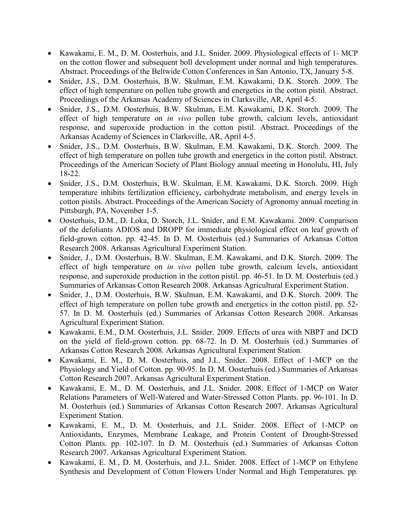- Kawakami, E. M., D. M. Oosterhuis, and J.L. Snider. 2009. Physiological effects of 1- MCP on the cotton flower and subsequent boll development under normal and high temperatures. Abstract. Proceedings of the Beltwide Cotton Conferences in San Antonio, TX, January 5-8.
- Snider, J.S., D.M. Oosterhuis, B.W. Skulman, E.M. Kawakami, D.K. Storch. 2009. The effect of high temperature on pollen tube growth and energetics in the cotton pistil. Abstract. Proceedings of the Arkansas Academy of Sciences in Clarksville, AR, April 4-5.
- Snider, J.S., D.M. Oosterhuis, B.W. Skulman, E.M. Kawakami, D.K. Storch. 2009. The effect of high temperature on *in vivo* pollen tube growth, calcium levels, antioxidant response, and superoxide production in the cotton pistil. Abstract. Proceedings of the Arkansas Academy of Sciences in Clarksville, AR, April 4-5.
- Snider, J.S., D.M. Oosterhuis, B.W. Skulman, E.M. Kawakami, D.K. Storch. 2009. The effect of high temperature on pollen tube growth and energetics in the cotton pistil. Abstract. Proceedings of the American Society of Plant Biology annual meeting in Honolulu, HI, July 18-22.
- Snider, J.S., D.M. Oosterhuis, B.W. Skulman, E.M. Kawakami, D.K. Storch. 2009. High temperature inhibits fertilization efficiency, carbohydrate metabolism, and energy levels in cotton pistils. Abstract. Proceedings of the American Society of Agronomy annual meeting in Pittsburgh, PA, November 1-5.
- Oosterhuis, D.M., D. Loka, D. Storch, J.L. Snider, and E.M. Kawakami. 2009. Comparison of the defoliants ADIOS and DROPP for immediate physiological effect on leaf growth of field-grown cotton. pp. 42-45. In D. M. Oosterhuis (ed.) Summaries of Arkansas Cotton Research 2008. Arkansas Agricultural Experiment Station.
- Snider, J., D.M. Oosterhuis, B.W. Skulman, E.M. Kawakami, and D.K. Storch. 2009. The effect of high temperature on *in vivo* pollen tube growth, calcium levels, antioxidant response, and superoxide production in the cotton pistil. pp. 46-51. In D. M. Oosterhuis (ed.) Summaries of Arkansas Cotton Research 2008. Arkansas Agricultural Experiment Station.
- Snider, J., D.M. Oosterhuis, B.W. Skulman, E.M. Kawakami, and D.K. Storch. 2009. The effect of high temperature on pollen tube growth and energetics in the cotton pistil. pp. 52- 57. In D. M. Oosterhuis (ed.) Summaries of Arkansas Cotton Research 2008. Arkansas Agricultural Experiment Station.
- Kawakami, E.M., D.M. Oosterhuis, J.L. Snider. 2009. Effects of urea with NBPT and DCD on the yield of field-grown cotton. pp. 68-72. In D. M. Oosterhuis (ed.) Summaries of Arkansas Cotton Research 2008. Arkansas Agricultural Experiment Station.
- Kawakami, E. M., D. M. Oosterhuis, and J.L. Snider. 2008. Effect of 1-MCP on the Physiology and Yield of Cotton. pp. 90-95. In D. M. Oosterhuis (ed.) Summaries of Arkansas Cotton Research 2007. Arkansas Agricultural Experiment Station.
- Kawakami, E. M., D. M. Oosterhuis, and J.L. Snider. 2008. Effect of 1-MCP on Water Relations Parameters of Well-Watered and Water-Stressed Cotton Plants. pp. 96-101. In D. M. Oosterhuis (ed.) Summaries of Arkansas Cotton Research 2007. Arkansas Agricultural Experiment Station.
- Kawakami, E. M., D. M. Oosterhuis, and J.L. Snider. 2008. Effect of 1-MCP on Antioxidants, Enzymes, Membrane Leakage, and Protein Content of Drought-Stressed Cotton Plants. pp. 102-107. In D. M. Oosterhuis (ed.) Summaries of Arkansas Cotton Research 2007. Arkansas Agricultural Experiment Station.
- Kawakami, E. M., D. M. Oosterhuis, and J.L. Snider. 2008. Effect of 1-MCP on Ethylene Synthesis and Development of Cotton Flowers Under Normal and High Temperatures. pp.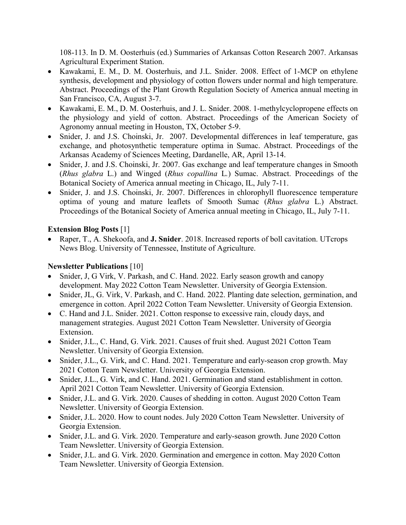108-113. In D. M. Oosterhuis (ed.) Summaries of Arkansas Cotton Research 2007. Arkansas Agricultural Experiment Station.

- Kawakami, E. M., D. M. Oosterhuis, and J.L. Snider. 2008. Effect of 1-MCP on ethylene synthesis, development and physiology of cotton flowers under normal and high temperature. Abstract. Proceedings of the Plant Growth Regulation Society of America annual meeting in San Francisco, CA, August 3-7.
- Kawakami, E. M., D. M. Oosterhuis, and J. L. Snider. 2008. 1-methylcyclopropene effects on the physiology and yield of cotton. Abstract. Proceedings of the American Society of Agronomy annual meeting in Houston, TX, October 5-9.
- Snider, J. and J.S. Choinski, Jr. 2007. Developmental differences in leaf temperature, gas exchange, and photosynthetic temperature optima in Sumac. Abstract. Proceedings of the Arkansas Academy of Sciences Meeting, Dardanelle, AR, April 13-14.
- Snider, J. and J.S. Choinski, Jr. 2007. Gas exchange and leaf temperature changes in Smooth (*Rhus glabra* L.) and Winged (*Rhus copallina* L*.*) Sumac. Abstract. Proceedings of the Botanical Society of America annual meeting in Chicago, IL, July 7-11.
- Snider, J. and J.S. Choinski, Jr. 2007. Differences in chlorophyll fluorescence temperature optima of young and mature leaflets of Smooth Sumac (*Rhus glabra* L.) Abstract. Proceedings of the Botanical Society of America annual meeting in Chicago, IL, July 7-11.

## **Extension Blog Posts** [1]

• Raper, T., A. Shekoofa, and **J. Snider**. 2018. Increased reports of boll cavitation. UTcrops News Blog. University of Tennessee, Institute of Agriculture.

# **Newsletter Publications** [10]

- Snider, J, G Virk, V. Parkash, and C. Hand. 2022. Early season growth and canopy development. May 2022 Cotton Team Newsletter. University of Georgia Extension.
- Snider, JL, G. Virk, V. Parkash, and C. Hand. 2022. Planting date selection, germination, and emergence in cotton. April 2022 Cotton Team Newsletter. University of Georgia Extension.
- C. Hand and J.L. Snider. 2021. Cotton response to excessive rain, cloudy days, and management strategies. August 2021 Cotton Team Newsletter. University of Georgia Extension.
- Snider, J.L., C. Hand, G. Virk. 2021. Causes of fruit shed. August 2021 Cotton Team Newsletter. University of Georgia Extension.
- Snider, J.L., G. Virk, and C. Hand. 2021. Temperature and early-season crop growth. May 2021 Cotton Team Newsletter. University of Georgia Extension.
- Snider, J.L., G. Virk, and C. Hand. 2021. Germination and stand establishment in cotton. April 2021 Cotton Team Newsletter. University of Georgia Extension.
- Snider, J.L. and G. Virk. 2020. Causes of shedding in cotton. August 2020 Cotton Team Newsletter. University of Georgia Extension.
- Snider, J.L. 2020. How to count nodes. July 2020 Cotton Team Newsletter. University of Georgia Extension.
- Snider, J.L. and G. Virk. 2020. Temperature and early-season growth. June 2020 Cotton Team Newsletter. University of Georgia Extension.
- Snider, J.L. and G. Virk. 2020. Germination and emergence in cotton. May 2020 Cotton Team Newsletter. University of Georgia Extension.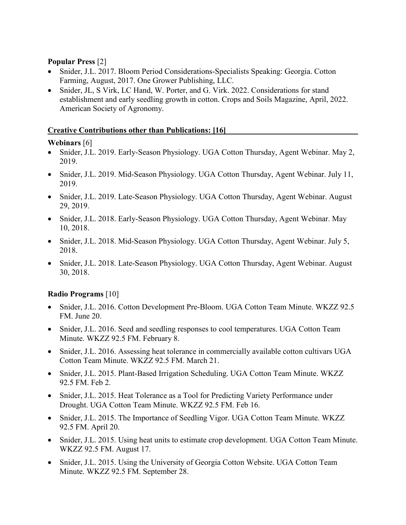### **Popular Press** [2]

- Snider, J.L. 2017. Bloom Period Considerations-Specialists Speaking: Georgia. Cotton Farming, August, 2017. One Grower Publishing, LLC.
- Snider, JL, S Virk, LC Hand, W. Porter, and G. Virk. 2022. Considerations for stand establishment and early seedling growth in cotton. Crops and Soils Magazine, April, 2022. American Society of Agronomy.

#### **Creative Contributions other than Publications: [16]**

#### **Webinars** [6]

- Snider, J.L. 2019. Early-Season Physiology. UGA Cotton Thursday, Agent Webinar. May 2, 2019.
- Snider, J.L. 2019. Mid-Season Physiology. UGA Cotton Thursday, Agent Webinar. July 11, 2019.
- Snider, J.L. 2019. Late-Season Physiology. UGA Cotton Thursday, Agent Webinar. August 29, 2019.
- Snider, J.L. 2018. Early-Season Physiology. UGA Cotton Thursday, Agent Webinar. May 10, 2018.
- Snider, J.L. 2018. Mid-Season Physiology. UGA Cotton Thursday, Agent Webinar. July 5, 2018.
- Snider, J.L. 2018. Late-Season Physiology. UGA Cotton Thursday, Agent Webinar. August 30, 2018.

#### **Radio Programs** [10]

- Snider, J.L. 2016. Cotton Development Pre-Bloom. UGA Cotton Team Minute. WKZZ 92.5 FM. June 20.
- Snider, J.L. 2016. Seed and seedling responses to cool temperatures. UGA Cotton Team Minute. WKZZ 92.5 FM. February 8.
- Snider, J.L. 2016. Assessing heat tolerance in commercially available cotton cultivars UGA Cotton Team Minute. WKZZ 92.5 FM. March 21.
- Snider, J.L. 2015. Plant-Based Irrigation Scheduling. UGA Cotton Team Minute. WKZZ 92.5 FM. Feb 2.
- Snider, J.L. 2015. Heat Tolerance as a Tool for Predicting Variety Performance under Drought. UGA Cotton Team Minute. WKZZ 92.5 FM. Feb 16.
- Snider, J.L. 2015. The Importance of Seedling Vigor. UGA Cotton Team Minute. WKZZ 92.5 FM. April 20.
- Snider, J.L. 2015. Using heat units to estimate crop development. UGA Cotton Team Minute. WKZZ 92.5 FM. August 17.
- Snider, J.L. 2015. Using the University of Georgia Cotton Website. UGA Cotton Team Minute. WKZZ 92.5 FM. September 28.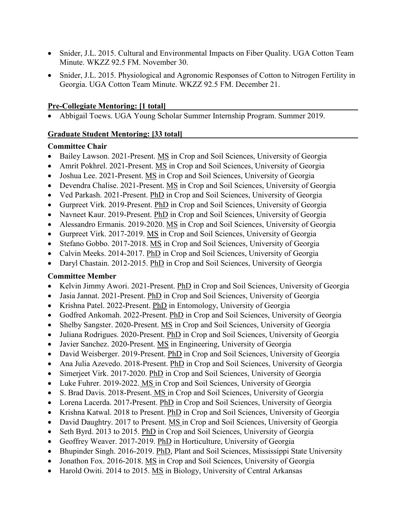- Snider, J.L. 2015. Cultural and Environmental Impacts on Fiber Quality. UGA Cotton Team Minute. WKZZ 92.5 FM. November 30.
- Snider, J.L. 2015. Physiological and Agronomic Responses of Cotton to Nitrogen Fertility in Georgia. UGA Cotton Team Minute. WKZZ 92.5 FM. December 21.

#### **Pre-Collegiate Mentoring: [1 total]**

• Abbigail Toews. UGA Young Scholar Summer Internship Program. Summer 2019.

### **Graduate Student Mentoring: [33 total]**

### **Committee Chair**

- Bailey Lawson. 2021-Present. MS in Crop and Soil Sciences, University of Georgia
- Amrit Pokhrel. 2021-Present. MS in Crop and Soil Sciences, University of Georgia
- Joshua Lee. 2021-Present. MS in Crop and Soil Sciences, University of Georgia
- Devendra Chalise. 2021-Present. MS in Crop and Soil Sciences, University of Georgia
- Ved Parkash. 2021-Present. PhD in Crop and Soil Sciences, University of Georgia
- Gurpreet Virk. 2019-Present. PhD in Crop and Soil Sciences, University of Georgia
- Navneet Kaur. 2019-Present. PhD in Crop and Soil Sciences, University of Georgia
- Alessandro Ermanis. 2019-2020. MS in Crop and Soil Sciences, University of Georgia
- Gurpreet Virk. 2017-2019. MS in Crop and Soil Sciences, University of Georgia
- Stefano Gobbo. 2017-2018. MS in Crop and Soil Sciences, University of Georgia
- Calvin Meeks. 2014-2017. PhD in Crop and Soil Sciences, University of Georgia
- Daryl Chastain. 2012-2015. PhD in Crop and Soil Sciences, University of Georgia

## **Committee Member**

- Kelvin Jimmy Awori. 2021-Present. PhD in Crop and Soil Sciences, University of Georgia
- Jasia Jannat. 2021-Present. PhD in Crop and Soil Sciences, University of Georgia
- Krishna Patel. 2022-Present. PhD in Entomology, University of Georgia
- Godfred Ankomah. 2022-Present. PhD in Crop and Soil Sciences, University of Georgia
- Shelby Sangster. 2020-Present. MS in Crop and Soil Sciences, University of Georgia
- Juliana Rodrigues. 2020-Present. PhD in Crop and Soil Sciences, University of Georgia
- Javier Sanchez. 2020-Present. MS in Engineering, University of Georgia
- David Weisberger. 2019-Present. PhD in Crop and Soil Sciences, University of Georgia
- Ana Julia Azevedo. 2018-Present. PhD in Crop and Soil Sciences, University of Georgia
- Simerjeet Virk. 2017-2020. PhD in Crop and Soil Sciences, University of Georgia
- Luke Fuhrer. 2019-2022. MS in Crop and Soil Sciences, University of Georgia
- S. Brad Davis. 2018-Present. MS in Crop and Soil Sciences, University of Georgia
- Lorena Lacerda. 2017-Present. PhD in Crop and Soil Sciences, University of Georgia
- Krishna Katwal. 2018 to Present. PhD in Crop and Soil Sciences, University of Georgia
- David Daughtry. 2017 to Present. MS in Crop and Soil Sciences, University of Georgia
- Seth Byrd. 2013 to 2015. PhD in Crop and Soil Sciences, University of Georgia
- Geoffrey Weaver. 2017-2019. PhD in Horticulture, University of Georgia
- Bhupinder Singh. 2016-2019. PhD, Plant and Soil Sciences, Mississippi State University
- Jonathon Fox. 2016-2018. MS in Crop and Soil Sciences, University of Georgia
- Harold Owiti. 2014 to 2015. MS in Biology, University of Central Arkansas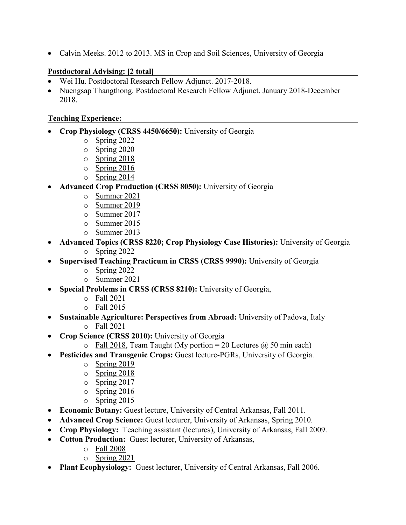• Calvin Meeks. 2012 to 2013. MS in Crop and Soil Sciences, University of Georgia

### **Postdoctoral Advising: [2 total]**

- Wei Hu. Postdoctoral Research Fellow Adjunct. 2017-2018.
- Nuengsap Thangthong. Postdoctoral Research Fellow Adjunct. January 2018-December 2018.

#### **Teaching Experience:**

- **Crop Physiology (CRSS 4450/6650):** University of Georgia
	- o Spring 2022
	- $\circ$  Spring 2020
	- o Spring 2018
	- o Spring 2016
	- o Spring 2014
- **Advanced Crop Production (CRSS 8050):** University of Georgia
	- o Summer 2021
	- o Summer 2019
	- $\circ$  Summer 2017
	- o Summer 2015
	- o Summer 2013
- **Advanced Topics (CRSS 8220; Crop Physiology Case Histories):** University of Georgia
	- o Spring 2022
- **Supervised Teaching Practicum in CRSS (CRSS 9990):** University of Georgia
	- o Spring 2022
	- o Summer 2021
- **Special Problems in CRSS (CRSS 8210):** University of Georgia,
	- o Fall 2021
	- o Fall 2015
- **Sustainable Agriculture: Perspectives from Abroad:** University of Padova, Italy o Fall 2021
- **Crop Science (CRSS 2010):** University of Georgia
	- $\circ$  Fall 2018, Team Taught (My portion = 20 Lectures  $\omega$  50 min each)
- **Pesticides and Transgenic Crops:** Guest lecture-PGRs, University of Georgia.
	- o Spring 2019
	- o Spring 2018
	- $\circ$  Spring 2017
	- o Spring 2016
	- o Spring 2015
- **Economic Botany:** Guest lecture, University of Central Arkansas, Fall 2011.
- **Advanced Crop Science:** Guest lecturer, University of Arkansas, Spring 2010.
- **Crop Physiology:** Teaching assistant (lectures), University of Arkansas, Fall 2009.
- **Cotton Production:** Guest lecturer, University of Arkansas,
	- o Fall 2008
	- o Spring 2021
- **Plant Ecophysiology:** Guest lecturer, University of Central Arkansas, Fall 2006.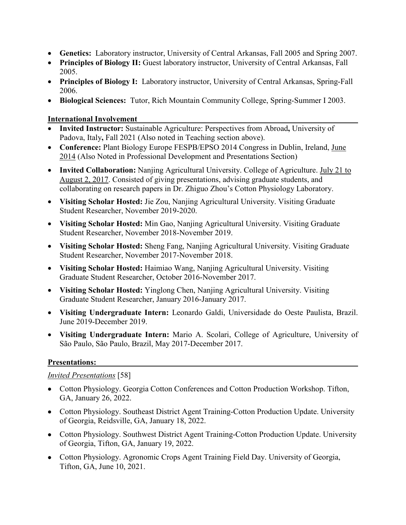- **Genetics:** Laboratory instructor, University of Central Arkansas, Fall 2005 and Spring 2007.
- **Principles of Biology II:** Guest laboratory instructor, University of Central Arkansas, Fall 2005.
- **Principles of Biology I:** Laboratory instructor, University of Central Arkansas, Spring-Fall 2006.
- **Biological Sciences:** Tutor, Rich Mountain Community College, Spring-Summer I 2003.

### **International Involvement**

- **Invited Instructor:** Sustainable Agriculture: Perspectives from Abroad**,** University of Padova, Italy, Fall 2021 (Also noted in Teaching section above).
- **Conference:** Plant Biology Europe FESPB/EPSO 2014 Congress in Dublin, Ireland, June 2014 (Also Noted in Professional Development and Presentations Section)
- **Invited Collaboration:** Nanjing Agricultural University. College of Agriculture. July 21 to August 2, 2017. Consisted of giving presentations, advising graduate students, and collaborating on research papers in Dr. Zhiguo Zhou's Cotton Physiology Laboratory.
- **Visiting Scholar Hosted:** Jie Zou, Nanjing Agricultural University. Visiting Graduate Student Researcher, November 2019-2020.
- **Visiting Scholar Hosted:** Min Gao, Nanjing Agricultural University. Visiting Graduate Student Researcher, November 2018-November 2019.
- **Visiting Scholar Hosted:** Sheng Fang, Nanjing Agricultural University. Visiting Graduate Student Researcher, November 2017-November 2018.
- **Visiting Scholar Hosted:** Haimiao Wang, Nanjing Agricultural University. Visiting Graduate Student Researcher, October 2016-November 2017.
- **Visiting Scholar Hosted:** Yinglong Chen, Nanjing Agricultural University. Visiting Graduate Student Researcher, January 2016-January 2017.
- **Visiting Undergraduate Intern:** Leonardo Galdi, Universidade do Oeste Paulista, Brazil. June 2019-December 2019.
- **Visiting Undergraduate Intern:** Mario A. Scolari, College of Agriculture, University of São Paulo, São Paulo, Brazil, May 2017-December 2017.

# **Presentations:**

## *Invited Presentations* [58]

- Cotton Physiology. Georgia Cotton Conferences and Cotton Production Workshop. Tifton, GA, January 26, 2022.
- Cotton Physiology. Southeast District Agent Training-Cotton Production Update. University of Georgia, Reidsville, GA, January 18, 2022.
- Cotton Physiology. Southwest District Agent Training-Cotton Production Update. University of Georgia, Tifton, GA, January 19, 2022.
- Cotton Physiology. Agronomic Crops Agent Training Field Day. University of Georgia, Tifton, GA, June 10, 2021.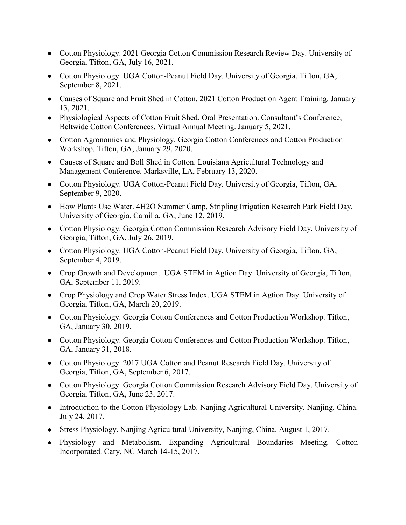- Cotton Physiology. 2021 Georgia Cotton Commission Research Review Day. University of Georgia, Tifton, GA, July 16, 2021.
- Cotton Physiology. UGA Cotton-Peanut Field Day. University of Georgia, Tifton, GA, September 8, 2021.
- Causes of Square and Fruit Shed in Cotton. 2021 Cotton Production Agent Training. January 13, 2021.
- Physiological Aspects of Cotton Fruit Shed. Oral Presentation. Consultant's Conference, Beltwide Cotton Conferences. Virtual Annual Meeting. January 5, 2021.
- Cotton Agronomics and Physiology. Georgia Cotton Conferences and Cotton Production Workshop. Tifton, GA, January 29, 2020.
- Causes of Square and Boll Shed in Cotton. Louisiana Agricultural Technology and Management Conference. Marksville, LA, February 13, 2020.
- Cotton Physiology. UGA Cotton-Peanut Field Day. University of Georgia, Tifton, GA, September 9, 2020.
- How Plants Use Water. 4H2O Summer Camp, Stripling Irrigation Research Park Field Day. University of Georgia, Camilla, GA, June 12, 2019.
- Cotton Physiology. Georgia Cotton Commission Research Advisory Field Day. University of Georgia, Tifton, GA, July 26, 2019.
- Cotton Physiology. UGA Cotton-Peanut Field Day. University of Georgia, Tifton, GA, September 4, 2019.
- Crop Growth and Development. UGA STEM in Agtion Day. University of Georgia, Tifton, GA, September 11, 2019.
- Crop Physiology and Crop Water Stress Index. UGA STEM in Agtion Day. University of Georgia, Tifton, GA, March 20, 2019.
- Cotton Physiology. Georgia Cotton Conferences and Cotton Production Workshop. Tifton, GA, January 30, 2019.
- Cotton Physiology. Georgia Cotton Conferences and Cotton Production Workshop. Tifton, GA, January 31, 2018.
- Cotton Physiology. 2017 UGA Cotton and Peanut Research Field Day. University of Georgia, Tifton, GA, September 6, 2017.
- Cotton Physiology. Georgia Cotton Commission Research Advisory Field Day. University of Georgia, Tifton, GA, June 23, 2017.
- Introduction to the Cotton Physiology Lab. Nanjing Agricultural University, Nanjing, China. July 24, 2017.
- Stress Physiology. Nanjing Agricultural University, Nanjing, China. August 1, 2017.
- Physiology and Metabolism. Expanding Agricultural Boundaries Meeting. Cotton Incorporated. Cary, NC March 14-15, 2017.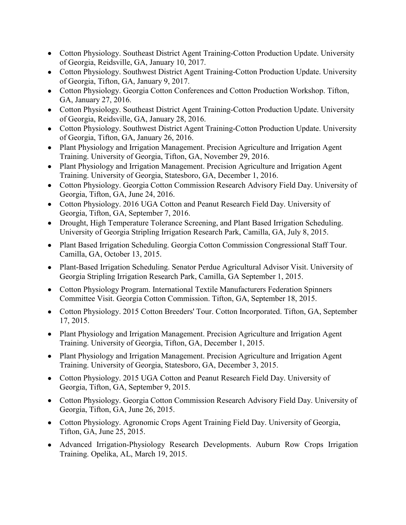- Cotton Physiology. Southeast District Agent Training-Cotton Production Update. University of Georgia, Reidsville, GA, January 10, 2017.
- Cotton Physiology. Southwest District Agent Training-Cotton Production Update. University of Georgia, Tifton, GA, January 9, 2017.
- Cotton Physiology. Georgia Cotton Conferences and Cotton Production Workshop. Tifton, GA, January 27, 2016.
- Cotton Physiology. Southeast District Agent Training-Cotton Production Update. University of Georgia, Reidsville, GA, January 28, 2016.
- Cotton Physiology. Southwest District Agent Training-Cotton Production Update. University of Georgia, Tifton, GA, January 26, 2016.
- Plant Physiology and Irrigation Management. Precision Agriculture and Irrigation Agent Training. University of Georgia, Tifton, GA, November 29, 2016.
- Plant Physiology and Irrigation Management. Precision Agriculture and Irrigation Agent Training. University of Georgia, Statesboro, GA, December 1, 2016.
- Cotton Physiology. Georgia Cotton Commission Research Advisory Field Day. University of Georgia, Tifton, GA, June 24, 2016.
- Cotton Physiology. 2016 UGA Cotton and Peanut Research Field Day. University of Georgia, Tifton, GA, September 7, 2016.
- Drought, High Temperature Tolerance Screening, and Plant Based Irrigation Scheduling. University of Georgia Stripling Irrigation Research Park, Camilla, GA, July 8, 2015.
- Plant Based Irrigation Scheduling. Georgia Cotton Commission Congressional Staff Tour. Camilla, GA, October 13, 2015.
- Plant-Based Irrigation Scheduling. Senator Perdue Agricultural Advisor Visit. University of Georgia Stripling Irrigation Research Park, Camilla, GA September 1, 2015.
- Cotton Physiology Program. International Textile Manufacturers Federation Spinners Committee Visit. Georgia Cotton Commission. Tifton, GA, September 18, 2015.
- Cotton Physiology. 2015 Cotton Breeders' Tour. Cotton Incorporated. Tifton, GA, September 17, 2015.
- Plant Physiology and Irrigation Management. Precision Agriculture and Irrigation Agent Training. University of Georgia, Tifton, GA, December 1, 2015.
- Plant Physiology and Irrigation Management. Precision Agriculture and Irrigation Agent Training. University of Georgia, Statesboro, GA, December 3, 2015.
- Cotton Physiology. 2015 UGA Cotton and Peanut Research Field Day. University of Georgia, Tifton, GA, September 9, 2015.
- Cotton Physiology. Georgia Cotton Commission Research Advisory Field Day. University of Georgia, Tifton, GA, June 26, 2015.
- Cotton Physiology. Agronomic Crops Agent Training Field Day. University of Georgia, Tifton, GA, June 25, 2015.
- Advanced Irrigation-Physiology Research Developments. Auburn Row Crops Irrigation Training. Opelika, AL, March 19, 2015.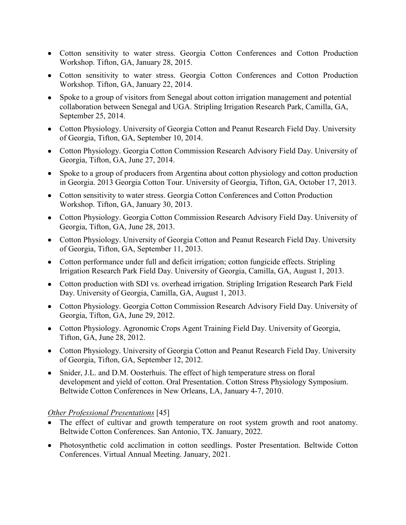- Cotton sensitivity to water stress. Georgia Cotton Conferences and Cotton Production Workshop. Tifton, GA, January 28, 2015.
- Cotton sensitivity to water stress. Georgia Cotton Conferences and Cotton Production Workshop. Tifton, GA, January 22, 2014.
- Spoke to a group of visitors from Senegal about cotton irrigation management and potential collaboration between Senegal and UGA. Stripling Irrigation Research Park, Camilla, GA, September 25, 2014.
- Cotton Physiology. University of Georgia Cotton and Peanut Research Field Day. University of Georgia, Tifton, GA, September 10, 2014.
- Cotton Physiology. Georgia Cotton Commission Research Advisory Field Day. University of Georgia, Tifton, GA, June 27, 2014.
- Spoke to a group of producers from Argentina about cotton physiology and cotton production in Georgia. 2013 Georgia Cotton Tour. University of Georgia, Tifton, GA, October 17, 2013.
- Cotton sensitivity to water stress. Georgia Cotton Conferences and Cotton Production Workshop. Tifton, GA, January 30, 2013.
- Cotton Physiology. Georgia Cotton Commission Research Advisory Field Day. University of Georgia, Tifton, GA, June 28, 2013.
- Cotton Physiology. University of Georgia Cotton and Peanut Research Field Day. University of Georgia, Tifton, GA, September 11, 2013.
- Cotton performance under full and deficit irrigation; cotton fungicide effects. Stripling Irrigation Research Park Field Day. University of Georgia, Camilla, GA, August 1, 2013.
- Cotton production with SDI vs. overhead irrigation. Stripling Irrigation Research Park Field Day. University of Georgia, Camilla, GA, August 1, 2013.
- Cotton Physiology. Georgia Cotton Commission Research Advisory Field Day. University of Georgia, Tifton, GA, June 29, 2012.
- Cotton Physiology. Agronomic Crops Agent Training Field Day. University of Georgia, Tifton, GA, June 28, 2012.
- Cotton Physiology. University of Georgia Cotton and Peanut Research Field Day. University of Georgia, Tifton, GA, September 12, 2012.
- Snider, J.L. and D.M. Oosterhuis. The effect of high temperature stress on floral development and yield of cotton. Oral Presentation. Cotton Stress Physiology Symposium. Beltwide Cotton Conferences in New Orleans, LA, January 4-7, 2010.

#### *Other Professional Presentations* [45]

- The effect of cultivar and growth temperature on root system growth and root anatomy. Beltwide Cotton Conferences. San Antonio, TX. January, 2022.
- Photosynthetic cold acclimation in cotton seedlings. Poster Presentation. Beltwide Cotton Conferences. Virtual Annual Meeting. January, 2021.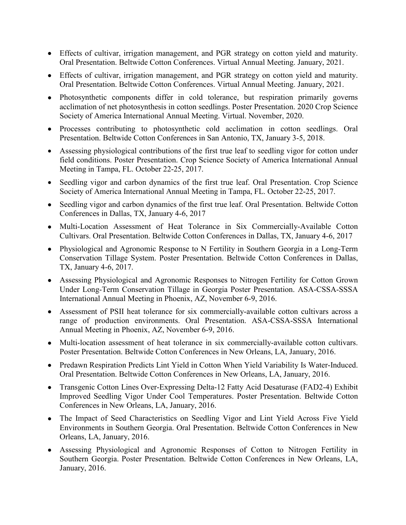- Effects of cultivar, irrigation management, and PGR strategy on cotton yield and maturity. Oral Presentation. Beltwide Cotton Conferences. Virtual Annual Meeting. January, 2021.
- Effects of cultivar, irrigation management, and PGR strategy on cotton yield and maturity. Oral Presentation. Beltwide Cotton Conferences. Virtual Annual Meeting. January, 2021.
- Photosynthetic components differ in cold tolerance, but respiration primarily governs acclimation of net photosynthesis in cotton seedlings. Poster Presentation. 2020 Crop Science Society of America International Annual Meeting. Virtual. November, 2020.
- Processes contributing to photosynthetic cold acclimation in cotton seedlings. Oral Presentation. Beltwide Cotton Conferences in San Antonio, TX, January 3-5, 2018.
- Assessing physiological contributions of the first true leaf to seedling vigor for cotton under field conditions. Poster Presentation. Crop Science Society of America International Annual Meeting in Tampa, FL. October 22-25, 2017.
- Seedling vigor and carbon dynamics of the first true leaf. Oral Presentation. Crop Science Society of America International Annual Meeting in Tampa, FL. October 22-25, 2017.
- Seedling vigor and carbon dynamics of the first true leaf. Oral Presentation. Beltwide Cotton Conferences in Dallas, TX, January 4-6, 2017
- Multi-Location Assessment of Heat Tolerance in Six Commercially-Available Cotton Cultivars. Oral Presentation. Beltwide Cotton Conferences in Dallas, TX, January 4-6, 2017
- Physiological and Agronomic Response to N Fertility in Southern Georgia in a Long-Term Conservation Tillage System. Poster Presentation. Beltwide Cotton Conferences in Dallas, TX, January 4-6, 2017.
- Assessing Physiological and Agronomic Responses to Nitrogen Fertility for Cotton Grown Under Long-Term Conservation Tillage in Georgia Poster Presentation. ASA-CSSA-SSSA International Annual Meeting in Phoenix, AZ, November 6-9, 2016.
- Assessment of PSII heat tolerance for six commercially-available cotton cultivars across a range of production environments. Oral Presentation. ASA-CSSA-SSSA International Annual Meeting in Phoenix, AZ, November 6-9, 2016.
- Multi-location assessment of heat tolerance in six commercially-available cotton cultivars. Poster Presentation. Beltwide Cotton Conferences in New Orleans, LA, January, 2016.
- Predawn Respiration Predicts Lint Yield in Cotton When Yield Variability Is Water-Induced. Oral Presentation. Beltwide Cotton Conferences in New Orleans, LA, January, 2016.
- Transgenic Cotton Lines Over-Expressing Delta-12 Fatty Acid Desaturase (FAD2-4) Exhibit Improved Seedling Vigor Under Cool Temperatures. Poster Presentation. Beltwide Cotton Conferences in New Orleans, LA, January, 2016.
- The Impact of Seed Characteristics on Seedling Vigor and Lint Yield Across Five Yield Environments in Southern Georgia. Oral Presentation. Beltwide Cotton Conferences in New Orleans, LA, January, 2016.
- Assessing Physiological and Agronomic Responses of Cotton to Nitrogen Fertility in Southern Georgia. Poster Presentation. Beltwide Cotton Conferences in New Orleans, LA, January, 2016.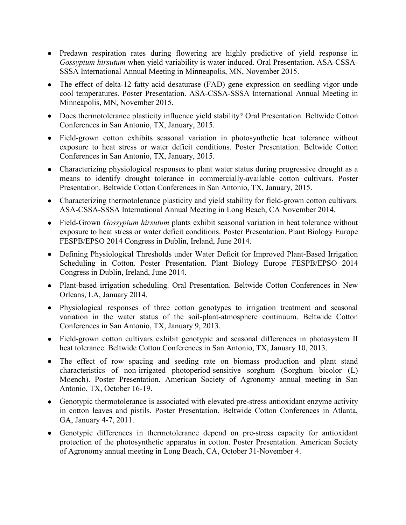- Predawn respiration rates during flowering are highly predictive of yield response in *Gossypium hirsutum* when yield variability is water induced. Oral Presentation. ASA-CSSA-SSSA International Annual Meeting in Minneapolis, MN, November 2015.
- The effect of delta-12 fatty acid desaturase (FAD) gene expression on seedling vigor unde cool temperatures. Poster Presentation. ASA-CSSA-SSSA International Annual Meeting in Minneapolis, MN, November 2015.
- Does thermotolerance plasticity influence yield stability? Oral Presentation. Beltwide Cotton Conferences in San Antonio, TX, January, 2015.
- Field-grown cotton exhibits seasonal variation in photosynthetic heat tolerance without exposure to heat stress or water deficit conditions. Poster Presentation. Beltwide Cotton Conferences in San Antonio, TX, January, 2015.
- Characterizing physiological responses to plant water status during progressive drought as a means to identify drought tolerance in commercially-available cotton cultivars. Poster Presentation. Beltwide Cotton Conferences in San Antonio, TX, January, 2015.
- Characterizing thermotolerance plasticity and yield stability for field-grown cotton cultivars. ASA-CSSA-SSSA International Annual Meeting in Long Beach, CA November 2014.
- Field-Grown *Gossypium hirsutum* plants exhibit seasonal variation in heat tolerance without exposure to heat stress or water deficit conditions. Poster Presentation. Plant Biology Europe FESPB/EPSO 2014 Congress in Dublin, Ireland, June 2014.
- Defining Physiological Thresholds under Water Deficit for Improved Plant-Based Irrigation Scheduling in Cotton. Poster Presentation. Plant Biology Europe FESPB/EPSO 2014 Congress in Dublin, Ireland, June 2014.
- Plant-based irrigation scheduling. Oral Presentation. Beltwide Cotton Conferences in New Orleans, LA, January 2014.
- Physiological responses of three cotton genotypes to irrigation treatment and seasonal variation in the water status of the soil-plant-atmosphere continuum. Beltwide Cotton Conferences in San Antonio, TX, January 9, 2013.
- Field-grown cotton cultivars exhibit genotypic and seasonal differences in photosystem II heat tolerance. Beltwide Cotton Conferences in San Antonio, TX, January 10, 2013.
- The effect of row spacing and seeding rate on biomass production and plant stand characteristics of non-irrigated photoperiod-sensitive sorghum (Sorghum bicolor (L) Moench). Poster Presentation. American Society of Agronomy annual meeting in San Antonio, TX, October 16-19.
- Genotypic thermotolerance is associated with elevated pre-stress antioxidant enzyme activity in cotton leaves and pistils. Poster Presentation. Beltwide Cotton Conferences in Atlanta, GA, January 4-7, 2011.
- Genotypic differences in thermotolerance depend on pre-stress capacity for antioxidant protection of the photosynthetic apparatus in cotton. Poster Presentation. American Society of Agronomy annual meeting in Long Beach, CA, October 31-November 4.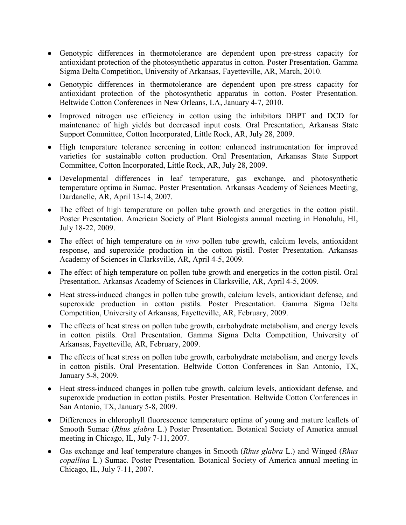- Genotypic differences in thermotolerance are dependent upon pre-stress capacity for antioxidant protection of the photosynthetic apparatus in cotton. Poster Presentation. Gamma Sigma Delta Competition, University of Arkansas, Fayetteville, AR, March, 2010.
- Genotypic differences in thermotolerance are dependent upon pre-stress capacity for antioxidant protection of the photosynthetic apparatus in cotton. Poster Presentation. Beltwide Cotton Conferences in New Orleans, LA, January 4-7, 2010.
- Improved nitrogen use efficiency in cotton using the inhibitors DBPT and DCD for maintenance of high yields but decreased input costs. Oral Presentation, Arkansas State Support Committee, Cotton Incorporated, Little Rock, AR, July 28, 2009.
- High temperature tolerance screening in cotton: enhanced instrumentation for improved varieties for sustainable cotton production. Oral Presentation, Arkansas State Support Committee, Cotton Incorporated, Little Rock, AR, July 28, 2009.
- Developmental differences in leaf temperature, gas exchange, and photosynthetic temperature optima in Sumac. Poster Presentation. Arkansas Academy of Sciences Meeting, Dardanelle, AR, April 13-14, 2007.
- The effect of high temperature on pollen tube growth and energetics in the cotton pistil. Poster Presentation. American Society of Plant Biologists annual meeting in Honolulu, HI, July 18-22, 2009.
- The effect of high temperature on *in vivo* pollen tube growth, calcium levels, antioxidant response, and superoxide production in the cotton pistil. Poster Presentation. Arkansas Academy of Sciences in Clarksville, AR, April 4-5, 2009.
- The effect of high temperature on pollen tube growth and energetics in the cotton pistil. Oral Presentation. Arkansas Academy of Sciences in Clarksville, AR, April 4-5, 2009.
- Heat stress-induced changes in pollen tube growth, calcium levels, antioxidant defense, and superoxide production in cotton pistils. Poster Presentation. Gamma Sigma Delta Competition, University of Arkansas, Fayetteville, AR, February, 2009.
- The effects of heat stress on pollen tube growth, carbohydrate metabolism, and energy levels in cotton pistils. Oral Presentation. Gamma Sigma Delta Competition, University of Arkansas, Fayetteville, AR, February, 2009.
- The effects of heat stress on pollen tube growth, carbohydrate metabolism, and energy levels in cotton pistils. Oral Presentation. Beltwide Cotton Conferences in San Antonio, TX, January 5-8, 2009.
- Heat stress-induced changes in pollen tube growth, calcium levels, antioxidant defense, and superoxide production in cotton pistils. Poster Presentation. Beltwide Cotton Conferences in San Antonio, TX, January 5-8, 2009.
- Differences in chlorophyll fluorescence temperature optima of young and mature leaflets of Smooth Sumac (*Rhus glabra* L.) Poster Presentation. Botanical Society of America annual meeting in Chicago, IL, July 7-11, 2007.
- Gas exchange and leaf temperature changes in Smooth (*Rhus glabra* L.) and Winged (*Rhus copallina* L*.*) Sumac. Poster Presentation. Botanical Society of America annual meeting in Chicago, IL, July 7-11, 2007.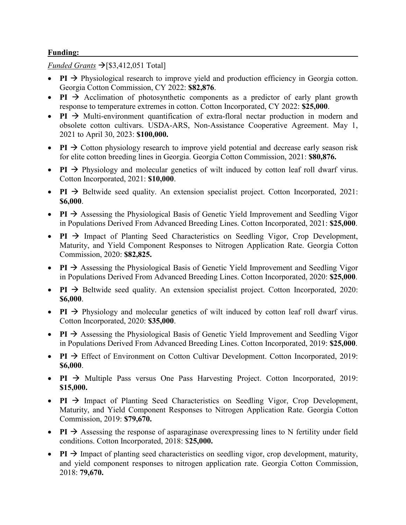#### **Funding:**

*Funded Grants*  $\rightarrow$  [\$3,412,051 Total]

- **PI**  $\rightarrow$  Physiological research to improve yield and production efficiency in Georgia cotton. Georgia Cotton Commission, CY 2022: **\$82,876**.
- **PI**  $\rightarrow$  Acclimation of photosynthetic components as a predictor of early plant growth response to temperature extremes in cotton. Cotton Incorporated, CY 2022: **\$25,000**.
- **PI**  $\rightarrow$  Multi-environment quantification of extra-floral nectar production in modern and obsolete cotton cultivars. USDA-ARS, Non-Assistance Cooperative Agreement. May 1, 2021 to April 30, 2023: **\$100,000.**
- **PI**  $\rightarrow$  Cotton physiology research to improve yield potential and decrease early season risk for elite cotton breeding lines in Georgia. Georgia Cotton Commission, 2021: **\$80,876.**
- **PI**  $\rightarrow$  Physiology and molecular genetics of wilt induced by cotton leaf roll dwarf virus. Cotton Incorporated, 2021: **\$10,000**.
- **PI**  $\rightarrow$  Beltwide seed quality. An extension specialist project. Cotton Incorporated, 2021: **\$6,000**.
- **PI**  $\rightarrow$  Assessing the Physiological Basis of Genetic Yield Improvement and Seedling Vigor in Populations Derived From Advanced Breeding Lines. Cotton Incorporated, 2021: **\$25,000**.
- **PI**  $\rightarrow$  Impact of Planting Seed Characteristics on Seedling Vigor, Crop Development, Maturity, and Yield Component Responses to Nitrogen Application Rate. Georgia Cotton Commission, 2020: **\$82,825.**
- **PI**  $\rightarrow$  Assessing the Physiological Basis of Genetic Yield Improvement and Seedling Vigor in Populations Derived From Advanced Breeding Lines. Cotton Incorporated, 2020: **\$25,000**.
- **PI**  $\rightarrow$  Beltwide seed quality. An extension specialist project. Cotton Incorporated, 2020: **\$6,000**.
- **PI**  $\rightarrow$  Physiology and molecular genetics of wilt induced by cotton leaf roll dwarf virus. Cotton Incorporated, 2020: **\$35,000**.
- **PI**  $\rightarrow$  Assessing the Physiological Basis of Genetic Yield Improvement and Seedling Vigor in Populations Derived From Advanced Breeding Lines. Cotton Incorporated, 2019: **\$25,000**.
- **PI**  $\rightarrow$  Effect of Environment on Cotton Cultivar Development. Cotton Incorporated, 2019: **\$6,000**.
- **PI**  $\rightarrow$  Multiple Pass versus One Pass Harvesting Project. Cotton Incorporated, 2019: **\$15,000.**
- **PI**  $\rightarrow$  Impact of Planting Seed Characteristics on Seedling Vigor, Crop Development, Maturity, and Yield Component Responses to Nitrogen Application Rate. Georgia Cotton Commission, 2019: **\$79,670.**
- **PI**  $\rightarrow$  Assessing the response of asparaginase overexpressing lines to N fertility under field conditions. Cotton Incorporated, 2018: \$**25,000.**
- **PI**  $\rightarrow$  Impact of planting seed characteristics on seedling vigor, crop development, maturity, and yield component responses to nitrogen application rate. Georgia Cotton Commission, 2018: **79,670.**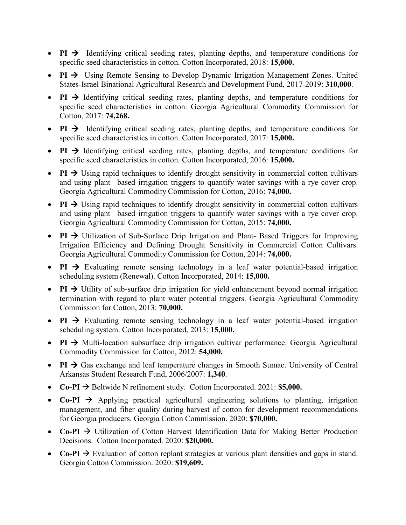- **PI**  $\rightarrow$  Identifying critical seeding rates, planting depths, and temperature conditions for specific seed characteristics in cotton. Cotton Incorporated, 2018: **15,000.**
- **PI**  $\rightarrow$  Using Remote Sensing to Develop Dynamic Irrigation Management Zones. United States-Israel Binational Agricultural Research and Development Fund, 2017-2019: **310,000**.
- **PI**  $\rightarrow$  Identifying critical seeding rates, planting depths, and temperature conditions for specific seed characteristics in cotton. Georgia Agricultural Commodity Commission for Cotton, 2017: **74,268.**
- **PI**  $\rightarrow$  Identifying critical seeding rates, planting depths, and temperature conditions for specific seed characteristics in cotton. Cotton Incorporated, 2017: **15,000.**
- **PI**  $\rightarrow$  Identifying critical seeding rates, planting depths, and temperature conditions for specific seed characteristics in cotton. Cotton Incorporated, 2016: **15,000.**
- **PI**  $\rightarrow$  Using rapid techniques to identify drought sensitivity in commercial cotton cultivars and using plant –based irrigation triggers to quantify water savings with a rye cover crop. Georgia Agricultural Commodity Commission for Cotton, 2016: **74,000.**
- **PI**  $\rightarrow$  Using rapid techniques to identify drought sensitivity in commercial cotton cultivars and using plant –based irrigation triggers to quantify water savings with a rye cover crop. Georgia Agricultural Commodity Commission for Cotton, 2015: **74,000.**
- **PI**  $\rightarrow$  Utilization of Sub-Surface Drip Irrigation and Plant- Based Triggers for Improving Irrigation Efficiency and Defining Drought Sensitivity in Commercial Cotton Cultivars. Georgia Agricultural Commodity Commission for Cotton, 2014: **74,000.**
- **PI**  $\rightarrow$  Evaluating remote sensing technology in a leaf water potential-based irrigation scheduling system (Renewal). Cotton Incorporated, 2014: **15,000.**
- **PI**  $\rightarrow$  Utility of sub-surface drip irrigation for yield enhancement beyond normal irrigation termination with regard to plant water potential triggers. Georgia Agricultural Commodity Commission for Cotton, 2013: **70,000.**
- **PI**  $\rightarrow$  Evaluating remote sensing technology in a leaf water potential-based irrigation scheduling system. Cotton Incorporated, 2013: **15,000.**
- **PI**  $\rightarrow$  Multi-location subsurface drip irrigation cultivar performance. Georgia Agricultural Commodity Commission for Cotton, 2012: **54,000.**
- **PI**  $\rightarrow$  Gas exchange and leaf temperature changes in Smooth Sumac. University of Central Arkansas Student Research Fund, 2006/2007: **1,340**.
- **Co-PI**  $\rightarrow$  Beltwide N refinement study. Cotton Incorporated. 2021: **\$5,000.**
- **Co-PI**  $\rightarrow$  Applying practical agricultural engineering solutions to planting, irrigation management, and fiber quality during harvest of cotton for development recommendations for Georgia producers. Georgia Cotton Commission. 2020: **\$70,000.**
- **Co-PI**  $\rightarrow$  Utilization of Cotton Harvest Identification Data for Making Better Production Decisions. Cotton Incorporated. 2020: **\$20,000.**
- **Co-PI**  $\rightarrow$  Evaluation of cotton replant strategies at various plant densities and gaps in stand. Georgia Cotton Commission. 2020: **\$19,609.**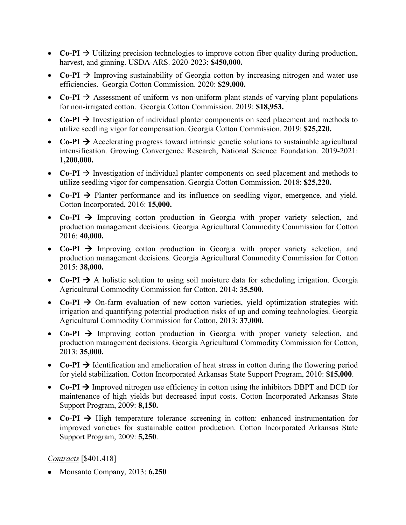- **Co-PI**  $\rightarrow$  Utilizing precision technologies to improve cotton fiber quality during production, harvest, and ginning. USDA-ARS. 2020-2023: **\$450,000.**
- **Co-PI**  $\rightarrow$  Improving sustainability of Georgia cotton by increasing nitrogen and water use efficiencies. Georgia Cotton Commission. 2020: **\$29,000.**
- **Co-PI**  $\rightarrow$  Assessment of uniform vs non-uniform plant stands of varying plant populations for non-irrigated cotton. Georgia Cotton Commission. 2019: **\$18,953.**
- **Co-PI**  $\rightarrow$  Investigation of individual planter components on seed placement and methods to utilize seedling vigor for compensation. Georgia Cotton Commission. 2019: **\$25,220.**
- **Co-PI**  $\rightarrow$  Accelerating progress toward intrinsic genetic solutions to sustainable agricultural intensification. Growing Convergence Research, National Science Foundation. 2019-2021: **1,200,000.**
- **Co-PI**  $\rightarrow$  Investigation of individual planter components on seed placement and methods to utilize seedling vigor for compensation. Georgia Cotton Commission. 2018: **\$25,220.**
- **Co-PI**  $\rightarrow$  Planter performance and its influence on seedling vigor, emergence, and yield. Cotton Incorporated, 2016: **15,000.**
- Co-PI  $\rightarrow$  Improving cotton production in Georgia with proper variety selection, and production management decisions. Georgia Agricultural Commodity Commission for Cotton 2016: **40,000.**
- $Co-PI$   $\rightarrow$  Improving cotton production in Georgia with proper variety selection, and production management decisions. Georgia Agricultural Commodity Commission for Cotton 2015: **38,000.**
- **Co-PI**  $\rightarrow$  A holistic solution to using soil moisture data for scheduling irrigation. Georgia Agricultural Commodity Commission for Cotton, 2014: **35,500.**
- $Co-PI \rightarrow On-farm evaluation of new cotton varieties, yield optimization strategies with$ irrigation and quantifying potential production risks of up and coming technologies. Georgia Agricultural Commodity Commission for Cotton, 2013: **37,000.**
- $Co-PI$   $\rightarrow$  Improving cotton production in Georgia with proper variety selection, and production management decisions. Georgia Agricultural Commodity Commission for Cotton, 2013: **35,000.**
- **Co-PI**  $\rightarrow$  Identification and amelioration of heat stress in cotton during the flowering period for yield stabilization. Cotton Incorporated Arkansas State Support Program, 2010: **\$15,000**.
- **Co-PI**  $\rightarrow$  Improved nitrogen use efficiency in cotton using the inhibitors DBPT and DCD for maintenance of high yields but decreased input costs. Cotton Incorporated Arkansas State Support Program, 2009: **8,150.**
- **Co-PI**  $\rightarrow$  High temperature tolerance screening in cotton: enhanced instrumentation for improved varieties for sustainable cotton production. Cotton Incorporated Arkansas State Support Program, 2009: **5,250**.

## *Contracts* [\$401,418]

• Monsanto Company, 2013: **6,250**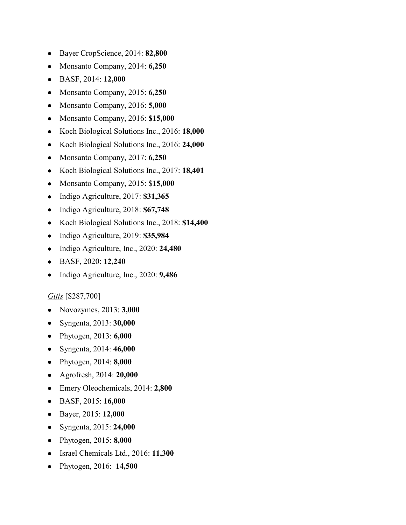- Bayer CropScience, 2014: **82,800**
- Monsanto Company, 2014: **6,250**
- BASF, 2014: **12,000**
- Monsanto Company, 2015: **6,250**
- Monsanto Company, 2016: **5,000**
- Monsanto Company, 2016: **\$15,000**
- Koch Biological Solutions Inc., 2016: **18,000**
- Koch Biological Solutions Inc., 2016: **24,000**
- Monsanto Company, 2017: **6,250**
- Koch Biological Solutions Inc., 2017: **18,401**
- Monsanto Company, 2015: \$**15,000**
- Indigo Agriculture, 2017: **\$31,365**
- Indigo Agriculture, 2018: **\$67,748**
- Koch Biological Solutions Inc., 2018: **\$14,400**
- Indigo Agriculture, 2019: **\$35,984**
- Indigo Agriculture, Inc., 2020: **24,480**
- BASF, 2020: **12,240**
- Indigo Agriculture, Inc., 2020: **9,486**

#### *Gifts* [\$287,700]

- Novozymes, 2013: **3,000**
- Syngenta, 2013: **30,000**
- Phytogen, 2013: **6,000**
- Syngenta, 2014: **46,000**
- Phytogen, 2014: **8,000**
- Agrofresh, 2014: **20,000**
- Emery Oleochemicals, 2014: **2,800**
- BASF, 2015: **16,000**
- Bayer, 2015: **12,000**
- Syngenta, 2015: **24,000**
- Phytogen, 2015: **8,000**
- Israel Chemicals Ltd., 2016: **11,300**
- Phytogen, 2016: **14,500**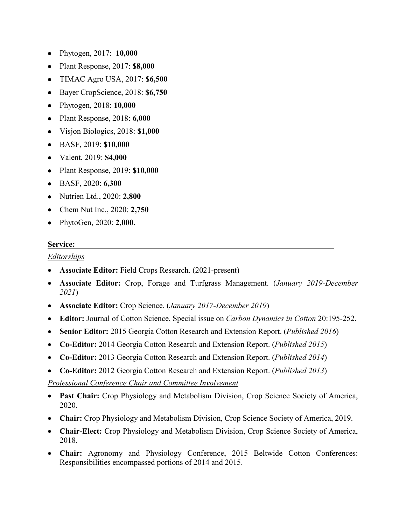- Phytogen, 2017: **10,000**
- Plant Response, 2017: **\$8,000**
- TIMAC Agro USA, 2017: **\$6,500**
- Bayer CropScience, 2018: **\$6,750**
- Phytogen, 2018: **10,000**
- Plant Response, 2018: **6,000**
- Visjon Biologics, 2018: **\$1,000**
- BASF, 2019: **\$10,000**
- Valent, 2019: **\$4,000**
- Plant Response, 2019: **\$10,000**
- BASF, 2020: **6,300**
- Nutrien Ltd., 2020: **2,800**
- Chem Nut Inc., 2020: **2,750**
- PhytoGen, 2020: **2,000.**

#### **Service:**

#### *Editorships*

- **Associate Editor:** Field Crops Research. (2021-present)
- **Associate Editor:** Crop, Forage and Turfgrass Management. (*January 2019-December 2021*)
- **Associate Editor:** Crop Science. (*January 2017-December 2019*)
- **Editor:** Journal of Cotton Science, Special issue on *Carbon Dynamics in Cotton* 20:195-252.
- **Senior Editor:** 2015 Georgia Cotton Research and Extension Report. (*Published 2016*)
- **Co-Editor:** 2014 Georgia Cotton Research and Extension Report. (*Published 2015*)
- **Co-Editor:** 2013 Georgia Cotton Research and Extension Report. (*Published 2014*)
- **Co-Editor:** 2012 Georgia Cotton Research and Extension Report. (*Published 2013*)

*Professional Conference Chair and Committee Involvement* 

- **Past Chair:** Crop Physiology and Metabolism Division, Crop Science Society of America, 2020.
- **Chair:** Crop Physiology and Metabolism Division, Crop Science Society of America, 2019.
- **Chair-Elect:** Crop Physiology and Metabolism Division, Crop Science Society of America, 2018.
- **Chair:** Agronomy and Physiology Conference, 2015 Beltwide Cotton Conferences: Responsibilities encompassed portions of 2014 and 2015.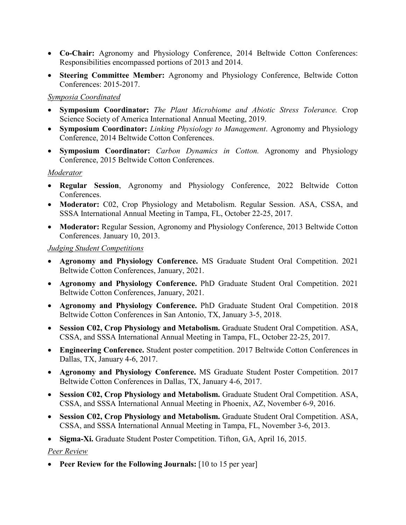- **Co-Chair:** Agronomy and Physiology Conference, 2014 Beltwide Cotton Conferences: Responsibilities encompassed portions of 2013 and 2014.
- **Steering Committee Member:** Agronomy and Physiology Conference, Beltwide Cotton Conferences: 2015-2017.

#### *Symposia Coordinated*

- **Symposium Coordinator:** *The Plant Microbiome and Abiotic Stress Tolerance.* Crop Science Society of America International Annual Meeting, 2019.
- **Symposium Coordinator:** *Linking Physiology to Management*. Agronomy and Physiology Conference, 2014 Beltwide Cotton Conferences.
- **Symposium Coordinator:** *Carbon Dynamics in Cotton.* Agronomy and Physiology Conference, 2015 Beltwide Cotton Conferences.

### *Moderator*

- **Regular Session**, Agronomy and Physiology Conference, 2022 Beltwide Cotton Conferences.
- **Moderator:** C02, Crop Physiology and Metabolism. Regular Session. ASA, CSSA, and SSSA International Annual Meeting in Tampa, FL, October 22-25, 2017.
- **Moderator:** Regular Session, Agronomy and Physiology Conference, 2013 Beltwide Cotton Conferences. January 10, 2013.

### *Judging Student Competitions*

- **Agronomy and Physiology Conference.** MS Graduate Student Oral Competition. 2021 Beltwide Cotton Conferences, January, 2021.
- **Agronomy and Physiology Conference.** PhD Graduate Student Oral Competition. 2021 Beltwide Cotton Conferences, January, 2021.
- **Agronomy and Physiology Conference.** PhD Graduate Student Oral Competition. 2018 Beltwide Cotton Conferences in San Antonio, TX, January 3-5, 2018.
- Session C02, Crop Physiology and Metabolism. Graduate Student Oral Competition. ASA, CSSA, and SSSA International Annual Meeting in Tampa, FL, October 22-25, 2017.
- **Engineering Conference.** Student poster competition. 2017 Beltwide Cotton Conferences in Dallas, TX, January 4-6, 2017.
- **Agronomy and Physiology Conference.** MS Graduate Student Poster Competition. 2017 Beltwide Cotton Conferences in Dallas, TX, January 4-6, 2017.
- **Session C02, Crop Physiology and Metabolism.** Graduate Student Oral Competition. ASA, CSSA, and SSSA International Annual Meeting in Phoenix, AZ, November 6-9, 2016.
- **Session C02, Crop Physiology and Metabolism.** Graduate Student Oral Competition. ASA, CSSA, and SSSA International Annual Meeting in Tampa, FL, November 3-6, 2013.
- **Sigma-Xi.** Graduate Student Poster Competition. Tifton, GA, April 16, 2015.

## *Peer Review*

• **Peer Review for the Following Journals:** [10 to 15 per year]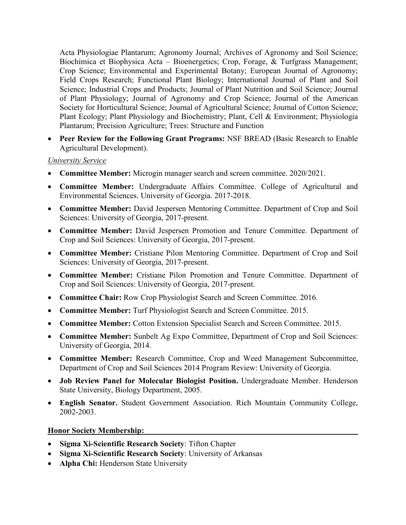Acta Physiologiae Plantarum; Agronomy Journal; Archives of Agronomy and Soil Science; Biochimica et Biophysica Acta – Bioenergetics; Crop, Forage, & Turfgrass Management; Crop Science; Environmental and Experimental Botany; European Journal of Agronomy; Field Crops Research; Functional Plant Biology; International Journal of Plant and Soil Science; Industrial Crops and Products; Journal of Plant Nutrition and Soil Science; Journal of Plant Physiology; Journal of Agronomy and Crop Science; Journal of the American Society for Horticultural Science; Journal of Agricultural Science; Journal of Cotton Science; Plant Ecology; Plant Physiology and Biochemistry; Plant, Cell & Environment; Physiologia Plantarum; Precision Agriculture; Trees: Structure and Function

• **Peer Review for the Following Grant Programs:** NSF BREAD (Basic Research to Enable Agricultural Development).

#### *University Service*

- **Committee Member:** Microgin manager search and screen committee. 2020/2021.
- **Committee Member:** Undergraduate Affairs Committee. College of Agricultural and Environmental Sciences. University of Georgia. 2017-2018.
- **Committee Member:** David Jespersen Mentoring Committee. Department of Crop and Soil Sciences: University of Georgia, 2017-present.
- **Committee Member:** David Jespersen Promotion and Tenure Committee. Department of Crop and Soil Sciences: University of Georgia, 2017-present.
- **Committee Member:** Cristiane Pilon Mentoring Committee. Department of Crop and Soil Sciences: University of Georgia, 2017-present.
- **Committee Member:** Cristiane Pilon Promotion and Tenure Committee. Department of Crop and Soil Sciences: University of Georgia, 2017-present.
- **Committee Chair:** Row Crop Physiologist Search and Screen Committee. 2016.
- **Committee Member:** Turf Physiologist Search and Screen Committee. 2015.
- **Committee Member:** Cotton Extension Specialist Search and Screen Committee. 2015.
- **Committee Member:** Sunbelt Ag Expo Committee, Department of Crop and Soil Sciences: University of Georgia, 2014.
- **Committee Member:** Research Committee, Crop and Weed Management Subcommittee, Department of Crop and Soil Sciences 2014 Program Review: University of Georgia.
- **Job Review Panel for Molecular Biologist Position.** Undergraduate Member. Henderson State University, Biology Department, 2005.
- **English Senator.** Student Government Association. Rich Mountain Community College, 2002-2003.

#### **Honor Society Membership:**

- **Sigma Xi-Scientific Research Society**: Tifton Chapter
- **Sigma Xi-Scientific Research Society**: University of Arkansas
- **Alpha Chi:** Henderson State University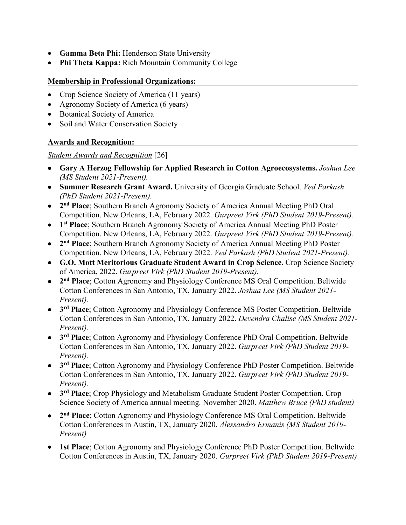- **Gamma Beta Phi:** Henderson State University
- **Phi Theta Kappa:** Rich Mountain Community College
- **Membership in Professional Organizations:**
- Crop Science Society of America (11 years)
- Agronomy Society of America (6 years)
- Botanical Society of America
- Soil and Water Conservation Society

### **Awards and Recognition:**

*Student Awards and Recognition* [26]

- **Gary A Herzog Fellowship for Applied Research in Cotton Agroecosystems.** *Joshua Lee (MS Student 2021-Present).*
- **Summer Research Grant Award.** University of Georgia Graduate School. *Ved Parkash (PhD Student 2021-Present).*
- **2nd Place**; Southern Branch Agronomy Society of America Annual Meeting PhD Oral Competition. New Orleans, LA, February 2022. *Gurpreet Virk (PhD Student 2019-Present).*
- **1st Place**; Southern Branch Agronomy Society of America Annual Meeting PhD Poster Competition. New Orleans, LA, February 2022. *Gurpreet Virk (PhD Student 2019-Present).*
- **2nd Place**; Southern Branch Agronomy Society of America Annual Meeting PhD Poster Competition. New Orleans, LA, February 2022. *Ved Parkash (PhD Student 2021-Present).*
- **G.O. Mott Meritorious Graduate Student Award in Crop Science.** Crop Science Society of America, 2022. *Gurpreet Virk (PhD Student 2019-Present).*
- **2nd Place**; Cotton Agronomy and Physiology Conference MS Oral Competition. Beltwide Cotton Conferences in San Antonio, TX, January 2022. *Joshua Lee (MS Student 2021- Present).*
- **3rd Place**; Cotton Agronomy and Physiology Conference MS Poster Competition. Beltwide Cotton Conferences in San Antonio, TX, January 2022. *Devendra Chalise (MS Student 2021- Present).*
- **3rd Place**; Cotton Agronomy and Physiology Conference PhD Oral Competition. Beltwide Cotton Conferences in San Antonio, TX, January 2022. *Gurpreet Virk (PhD Student 2019- Present).*
- **3rd Place**; Cotton Agronomy and Physiology Conference PhD Poster Competition. Beltwide Cotton Conferences in San Antonio, TX, January 2022. *Gurpreet Virk (PhD Student 2019- Present).*
- **3rd Place**; Crop Physiology and Metabolism Graduate Student Poster Competition. Crop Science Society of America annual meeting. November 2020. *Matthew Bruce (PhD student)*
- **2nd Place**; Cotton Agronomy and Physiology Conference MS Oral Competition. Beltwide Cotton Conferences in Austin, TX, January 2020. *Alessandro Ermanis (MS Student 2019- Present)*
- **1st Place**; Cotton Agronomy and Physiology Conference PhD Poster Competition. Beltwide Cotton Conferences in Austin, TX, January 2020. *Gurpreet Virk (PhD Student 2019-Present)*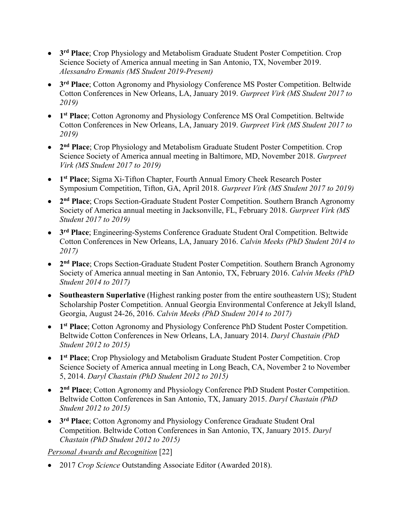- **3rd Place**; Crop Physiology and Metabolism Graduate Student Poster Competition. Crop Science Society of America annual meeting in San Antonio, TX, November 2019. *Alessandro Ermanis (MS Student 2019-Present)*
- **3rd Place**; Cotton Agronomy and Physiology Conference MS Poster Competition. Beltwide Cotton Conferences in New Orleans, LA, January 2019. *Gurpreet Virk (MS Student 2017 to 2019)*
- **1st Place**; Cotton Agronomy and Physiology Conference MS Oral Competition. Beltwide Cotton Conferences in New Orleans, LA, January 2019. *Gurpreet Virk (MS Student 2017 to 2019)*
- **2nd Place**; Crop Physiology and Metabolism Graduate Student Poster Competition. Crop Science Society of America annual meeting in Baltimore, MD, November 2018. *Gurpreet Virk (MS Student 2017 to 2019)*
- **1st Place**; Sigma Xi-Tifton Chapter, Fourth Annual Emory Cheek Research Poster Symposium Competition, Tifton, GA, April 2018. *Gurpreet Virk (MS Student 2017 to 2019)*
- **2nd Place**; Crops Section-Graduate Student Poster Competition. Southern Branch Agronomy Society of America annual meeting in Jacksonville, FL, February 2018. *Gurpreet Virk (MS Student 2017 to 2019)*
- **3rd Place**; Engineering-Systems Conference Graduate Student Oral Competition. Beltwide Cotton Conferences in New Orleans, LA, January 2016. *Calvin Meeks (PhD Student 2014 to 2017)*
- **2nd Place**; Crops Section-Graduate Student Poster Competition. Southern Branch Agronomy Society of America annual meeting in San Antonio, TX, February 2016. *Calvin Meeks (PhD Student 2014 to 2017)*
- **Southeastern Superlative** (Highest ranking poster from the entire southeastern US); Student Scholarship Poster Competition. Annual Georgia Environmental Conference at Jekyll Island, Georgia, August 24-26, 2016. *Calvin Meeks (PhD Student 2014 to 2017)*
- **1st Place**; Cotton Agronomy and Physiology Conference PhD Student Poster Competition. Beltwide Cotton Conferences in New Orleans, LA, January 2014. *Daryl Chastain (PhD Student 2012 to 2015)*
- 1<sup>st</sup> **Place**; Crop Physiology and Metabolism Graduate Student Poster Competition. Crop Science Society of America annual meeting in Long Beach, CA, November 2 to November 5, 2014. *Daryl Chastain (PhD Student 2012 to 2015)*
- **2nd Place**; Cotton Agronomy and Physiology Conference PhD Student Poster Competition. Beltwide Cotton Conferences in San Antonio, TX, January 2015. *Daryl Chastain (PhD Student 2012 to 2015)*
- **3rd Place**; Cotton Agronomy and Physiology Conference Graduate Student Oral Competition. Beltwide Cotton Conferences in San Antonio, TX, January 2015. *Daryl Chastain (PhD Student 2012 to 2015)*

*Personal Awards and Recognition* [22]

• 2017 *Crop Science* Outstanding Associate Editor (Awarded 2018).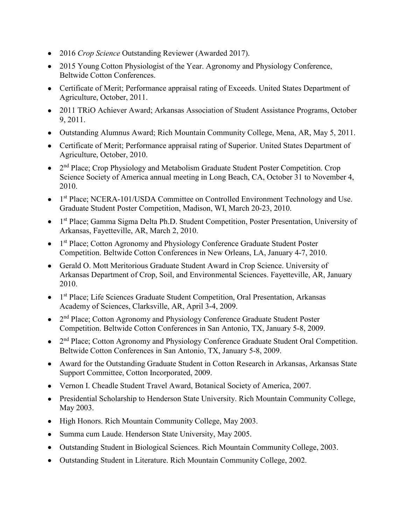- 2016 *Crop Science* Outstanding Reviewer (Awarded 2017).
- 2015 Young Cotton Physiologist of the Year. Agronomy and Physiology Conference, Beltwide Cotton Conferences.
- Certificate of Merit; Performance appraisal rating of Exceeds. United States Department of Agriculture, October, 2011.
- 2011 TRiO Achiever Award; Arkansas Association of Student Assistance Programs, October 9, 2011.
- Outstanding Alumnus Award; Rich Mountain Community College, Mena, AR, May 5, 2011.
- Certificate of Merit; Performance appraisal rating of Superior. United States Department of Agriculture, October, 2010.
- 2<sup>nd</sup> Place; Crop Physiology and Metabolism Graduate Student Poster Competition. Crop Science Society of America annual meeting in Long Beach, CA, October 31 to November 4, 2010.
- 1<sup>st</sup> Place; NCERA-101/USDA Committee on Controlled Environment Technology and Use. Graduate Student Poster Competition, Madison, WI, March 20-23, 2010.
- 1<sup>st</sup> Place; Gamma Sigma Delta Ph.D. Student Competition, Poster Presentation, University of Arkansas, Fayetteville, AR, March 2, 2010.
- 1<sup>st</sup> Place; Cotton Agronomy and Physiology Conference Graduate Student Poster Competition. Beltwide Cotton Conferences in New Orleans, LA, January 4-7, 2010.
- Gerald O. Mott Meritorious Graduate Student Award in Crop Science. University of Arkansas Department of Crop, Soil, and Environmental Sciences. Fayetteville, AR, January 2010.
- 1<sup>st</sup> Place; Life Sciences Graduate Student Competition, Oral Presentation, Arkansas Academy of Sciences, Clarksville, AR, April 3-4, 2009.
- 2<sup>nd</sup> Place; Cotton Agronomy and Physiology Conference Graduate Student Poster Competition. Beltwide Cotton Conferences in San Antonio, TX, January 5-8, 2009.
- 2<sup>nd</sup> Place; Cotton Agronomy and Physiology Conference Graduate Student Oral Competition. Beltwide Cotton Conferences in San Antonio, TX, January 5-8, 2009.
- Award for the Outstanding Graduate Student in Cotton Research in Arkansas, Arkansas State Support Committee, Cotton Incorporated, 2009.
- Vernon I. Cheadle Student Travel Award, Botanical Society of America, 2007.
- Presidential Scholarship to Henderson State University. Rich Mountain Community College, May 2003.
- High Honors. Rich Mountain Community College, May 2003.
- Summa cum Laude. Henderson State University, May 2005.
- Outstanding Student in Biological Sciences. Rich Mountain Community College, 2003.
- Outstanding Student in Literature. Rich Mountain Community College, 2002.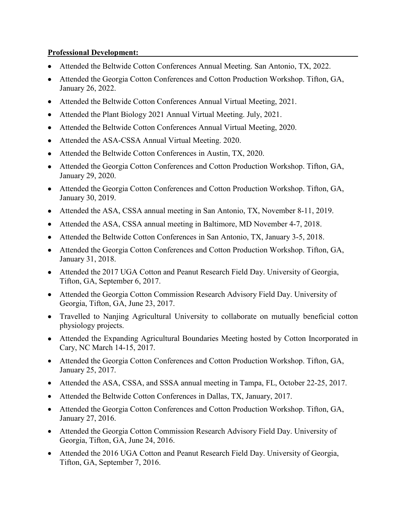#### **Professional Development:**

- Attended the Beltwide Cotton Conferences Annual Meeting. San Antonio, TX, 2022.
- Attended the Georgia Cotton Conferences and Cotton Production Workshop. Tifton, GA, January 26, 2022.
- Attended the Beltwide Cotton Conferences Annual Virtual Meeting, 2021.
- Attended the Plant Biology 2021 Annual Virtual Meeting. July, 2021.
- Attended the Beltwide Cotton Conferences Annual Virtual Meeting, 2020.
- Attended the ASA-CSSA Annual Virtual Meeting. 2020.
- Attended the Beltwide Cotton Conferences in Austin, TX, 2020.
- Attended the Georgia Cotton Conferences and Cotton Production Workshop. Tifton, GA, January 29, 2020.
- Attended the Georgia Cotton Conferences and Cotton Production Workshop. Tifton, GA, January 30, 2019.
- Attended the ASA, CSSA annual meeting in San Antonio, TX, November 8-11, 2019.
- Attended the ASA, CSSA annual meeting in Baltimore, MD November 4-7, 2018.
- Attended the Beltwide Cotton Conferences in San Antonio, TX, January 3-5, 2018.
- Attended the Georgia Cotton Conferences and Cotton Production Workshop. Tifton, GA, January 31, 2018.
- Attended the 2017 UGA Cotton and Peanut Research Field Day. University of Georgia, Tifton, GA, September 6, 2017.
- Attended the Georgia Cotton Commission Research Advisory Field Day. University of Georgia, Tifton, GA, June 23, 2017.
- Travelled to Nanjing Agricultural University to collaborate on mutually beneficial cotton physiology projects.
- Attended the Expanding Agricultural Boundaries Meeting hosted by Cotton Incorporated in Cary, NC March 14-15, 2017.
- Attended the Georgia Cotton Conferences and Cotton Production Workshop. Tifton, GA, January 25, 2017.
- Attended the ASA, CSSA, and SSSA annual meeting in Tampa, FL, October 22-25, 2017.
- Attended the Beltwide Cotton Conferences in Dallas, TX, January, 2017.
- Attended the Georgia Cotton Conferences and Cotton Production Workshop. Tifton, GA, January 27, 2016.
- Attended the Georgia Cotton Commission Research Advisory Field Day. University of Georgia, Tifton, GA, June 24, 2016.
- Attended the 2016 UGA Cotton and Peanut Research Field Day. University of Georgia, Tifton, GA, September 7, 2016.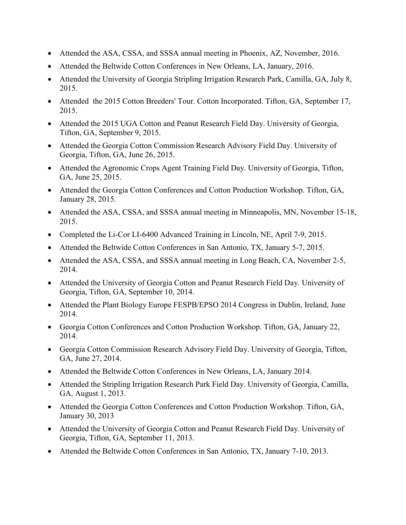- Attended the ASA, CSSA, and SSSA annual meeting in Phoenix, AZ, November, 2016.
- Attended the Beltwide Cotton Conferences in New Orleans, LA, January, 2016.
- Attended the University of Georgia Stripling Irrigation Research Park, Camilla, GA, July 8, 2015.
- Attended the 2015 Cotton Breeders' Tour. Cotton Incorporated. Tifton, GA, September 17, 2015.
- Attended the 2015 UGA Cotton and Peanut Research Field Day. University of Georgia, Tifton, GA, September 9, 2015.
- Attended the Georgia Cotton Commission Research Advisory Field Day. University of Georgia, Tifton, GA, June 26, 2015.
- Attended the Agronomic Crops Agent Training Field Day. University of Georgia, Tifton, GA, June 25, 2015.
- Attended the Georgia Cotton Conferences and Cotton Production Workshop. Tifton, GA, January 28, 2015.
- Attended the ASA, CSSA, and SSSA annual meeting in Minneapolis, MN, November 15-18, 2015.
- Completed the Li-Cor LI-6400 Advanced Training in Lincoln, NE, April 7-9, 2015.
- Attended the Beltwide Cotton Conferences in San Antonio, TX, January 5-7, 2015.
- Attended the ASA, CSSA, and SSSA annual meeting in Long Beach, CA, November 2-5, 2014.
- Attended the University of Georgia Cotton and Peanut Research Field Day. University of Georgia, Tifton, GA, September 10, 2014.
- Attended the Plant Biology Europe FESPB/EPSO 2014 Congress in Dublin, Ireland, June 2014.
- Georgia Cotton Conferences and Cotton Production Workshop. Tifton, GA, January 22, 2014.
- Georgia Cotton Commission Research Advisory Field Day. University of Georgia, Tifton, GA, June 27, 2014.
- Attended the Beltwide Cotton Conferences in New Orleans, LA, January 2014.
- Attended the Stripling Irrigation Research Park Field Day. University of Georgia, Camilla, GA, August 1, 2013.
- Attended the Georgia Cotton Conferences and Cotton Production Workshop. Tifton, GA, January 30, 2013
- Attended the University of Georgia Cotton and Peanut Research Field Day. University of Georgia, Tifton, GA, September 11, 2013.
- Attended the Beltwide Cotton Conferences in San Antonio, TX, January 7-10, 2013.